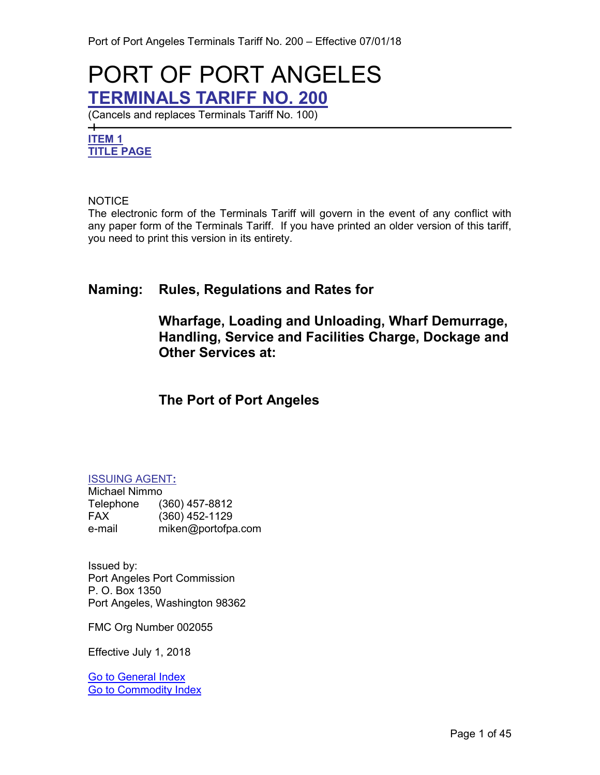## <span id="page-0-3"></span>PORT OF PORT ANGELES **TERMINALS TARIFF NO. 200**

(Cancels and replaces Terminals Tariff No. 100)

#### <span id="page-0-2"></span><span id="page-0-0"></span>**ITEM 1 TITLE PAGE**

 $+$ 

#### **NOTICE**

The electronic form of the Terminals Tariff will govern in the event of any conflict with any paper form of the Terminals Tariff. If you have printed an older version of this tariff, you need to print this version in its entirety.

### **Naming: Rules, Regulations and Rates for**

**Wharfage, Loading and Unloading, Wharf Demurrage, Handling, Service and Facilities Charge, Dockage and Other Services at:**

### **The Port of Port Angeles**

#### <span id="page-0-1"></span>ISSUING AGENT**:**

Michael Nimmo Telephone (360) 457-8812 FAX (360) 452-1129 miken@portofpa.com

Issued by: Port Angeles Port Commission P. O. Box 1350 Port Angeles, Washington 98362

FMC Org Number 002055

Effective July 1, 2018

[Go to General Index](#page-3-0) [Go to Commodity Index](#page-6-0)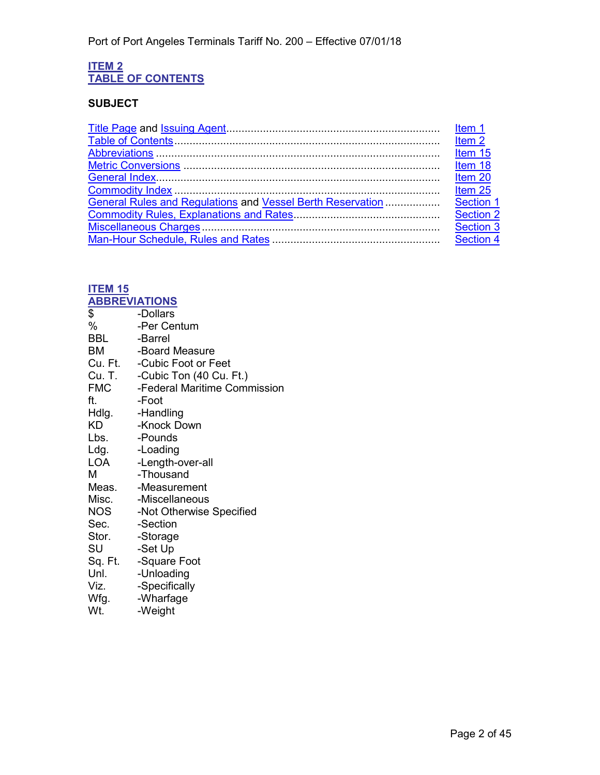#### <span id="page-1-1"></span><span id="page-1-0"></span>**ITEM 2 TABLE OF CONTENTS**

#### **SUBJECT**

|                                                            | Item 20   |
|------------------------------------------------------------|-----------|
|                                                            | Item 25   |
| General Rules and Requlations and Vessel Berth Reservation | Section 1 |
|                                                            | Section 2 |
|                                                            | Section 3 |
|                                                            | Section 4 |
|                                                            |           |

### <span id="page-1-3"></span>**ITEM 15**

<span id="page-1-2"></span>

| <b>ABBREVIATIONS</b> |                                          |
|----------------------|------------------------------------------|
| \$                   | -Dollars                                 |
| %                    | -Per Centum                              |
| <b>BBL</b>           | -Barrel                                  |
| BM                   | -Board Measure                           |
|                      | Cu. Ft. - Cubic Foot or Feet             |
|                      | Cu. T. -Cubic Ton (40 Cu. Ft.)           |
|                      | <b>FMC</b> - Federal Maritime Commission |
| ft.                  | -Foot                                    |
|                      | Hdlg. - Handling                         |
| KD                   | -Knock Down                              |
| Lbs.                 | -Pounds                                  |
| Ldg.                 | -Loading                                 |
| LOA                  | -Length-over-all                         |
| м                    | -Thousand                                |
|                      | Meas. - Measurement                      |
|                      | Misc. - Miscellaneous                    |
| NOS                  | -Not Otherwise Specified                 |
| Sec. <b>Sec.</b>     | -Section                                 |
| Stor.                | -Storage                                 |
| SU                   | -Set Up                                  |
| Sq. Ft.              | -Square Foot                             |
| Unl.                 | -Unloading                               |
| Viz.                 | -Specifically                            |
| Wfg.                 | -Wharfage                                |
| Wt.                  | -Weight                                  |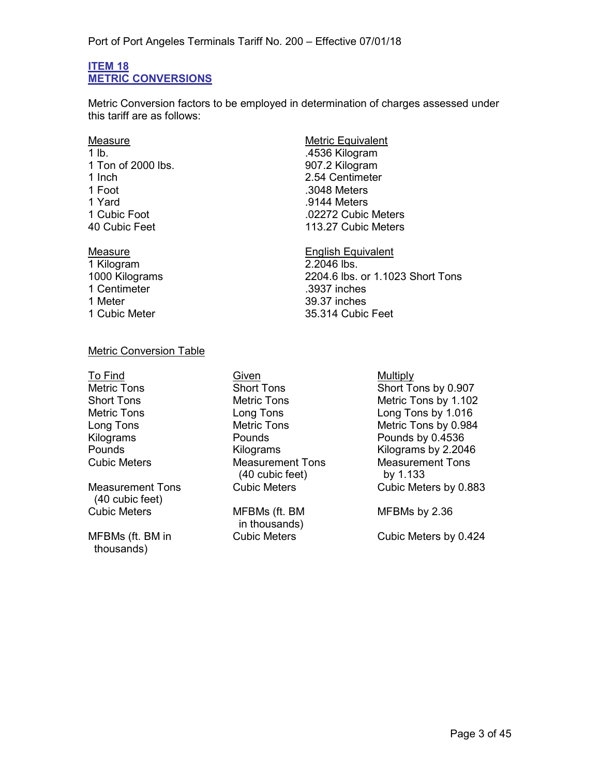#### <span id="page-2-1"></span><span id="page-2-0"></span>**ITEM 18 METRIC CONVERSIONS**

Metric Conversion factors to be employed in determination of charges assessed under this tariff are as follows:

# 1 Ton of 2000 lbs. 907.2 Kilogram<br>1 Inch 2.54 Centimete 1 Inch 2.54 Centimeter<br>1 Foot 3048 Meters 1 Yard .9144 Meters

1 Kilogram 1 Centimeter .3937 inches

## Measure<br>
1 lb<br>
1 lb .4536 Kilogram .3048 Meters .02272 Cubic Meters 40 Cubic Feet 113.27 Cubic Meters

Measure English Equivalent 1000 Kilograms 2204.6 lbs. or 1.1023 Short Tons 39.37 inches 1 Cubic Meter 35.314 Cubic Feet

#### Metric Conversion Table

Measurement Tons (40 cubic feet)

MFBMs (ft. BM in thousands)

To Find **Given** Given **Given Given Given Measurement Tons** (40 cubic feet)

> MFBMs (ft. BM in thousands)

Metric Tons Short Tons Short Tons Short Tons by 0.907 Short Tons **Metric Tons** Metric Tons Metric Tons by 1.102 Metric Tons Long Tons Long Tons by 1.016 Metric Tons by 0.984 Kilograms Pounds Pounds by 0.4536 Pounds Kilograms Kilograms by 2.2046 Measurement Tons by 1.133 Cubic Meters by 0.883

MFBMs by 2.36

Cubic Meters Cubic Meters by 0.424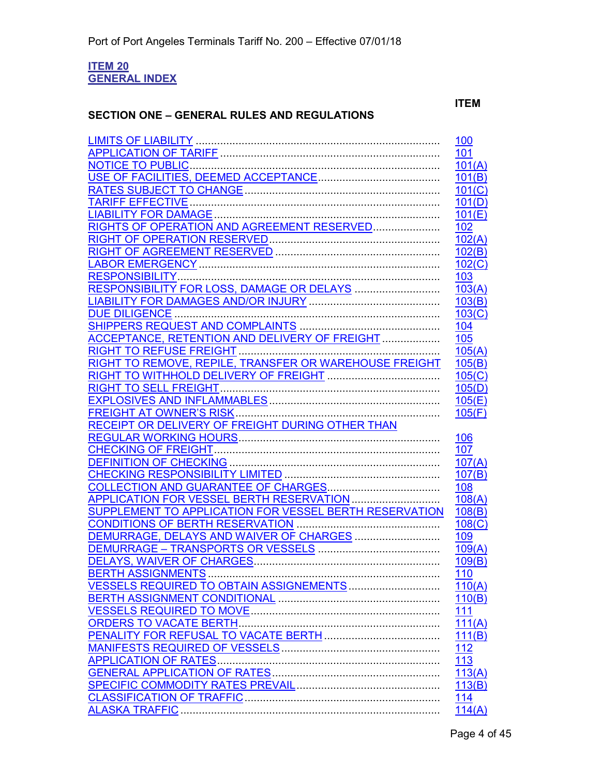#### <span id="page-3-1"></span><span id="page-3-0"></span>**ITEM 20 GENERAL INDEX**

#### **SECTION ONE – GENERAL RULES AND REGULATIONS**

#### **ITEM**

|                                                         | 100        |
|---------------------------------------------------------|------------|
|                                                         | 101        |
|                                                         | 101(A)     |
|                                                         | 101(B)     |
|                                                         | 101(C)     |
|                                                         | 101(D)     |
|                                                         | 101(E)     |
| RIGHTS OF OPERATION AND AGREEMENT RESERVED              | 102        |
|                                                         | 102(A)     |
|                                                         | 102(B)     |
|                                                         | 102(C)     |
|                                                         | 103        |
| RESPONSIBILITY FOR LOSS, DAMAGE OR DELAYS               | 103(A)     |
|                                                         | 103(B)     |
|                                                         | 103(C)     |
|                                                         | 104        |
| ACCEPTANCE, RETENTION AND DELIVERY OF FREIGHT           |            |
|                                                         | 105        |
|                                                         | 105(A)     |
| RIGHT TO REMOVE, REPILE, TRANSFER OR WAREHOUSE FREIGHT  | 105(B)     |
|                                                         | 105(C)     |
|                                                         | 105(D)     |
|                                                         | 105(E)     |
|                                                         | 105(F)     |
| <b>RECEIPT OR DELIVERY OF FREIGHT DURING OTHER THAN</b> |            |
|                                                         | 106        |
|                                                         | 107        |
|                                                         | 107(A)     |
|                                                         | 107(B)     |
|                                                         | 108        |
| APPLICATION FOR VESSEL BERTH RESERVATION                | 108(A)     |
| SUPPLEMENT TO APPLICATION FOR VESSEL BERTH RESERVATION  | 108(B)     |
|                                                         | 108(C)     |
|                                                         | 109        |
|                                                         | 109(A)     |
|                                                         | 109(B)     |
|                                                         | 110        |
|                                                         | 110(A)     |
|                                                         | 110(B)     |
|                                                         | 111        |
| <b>ORDERS TO VACATE BERTH</b>                           | 111(A)     |
|                                                         | 111(B)     |
|                                                         | 112        |
|                                                         | 113        |
|                                                         | 113(A)     |
|                                                         | 113(B)     |
|                                                         | <u>114</u> |
|                                                         | 114(A)     |
|                                                         |            |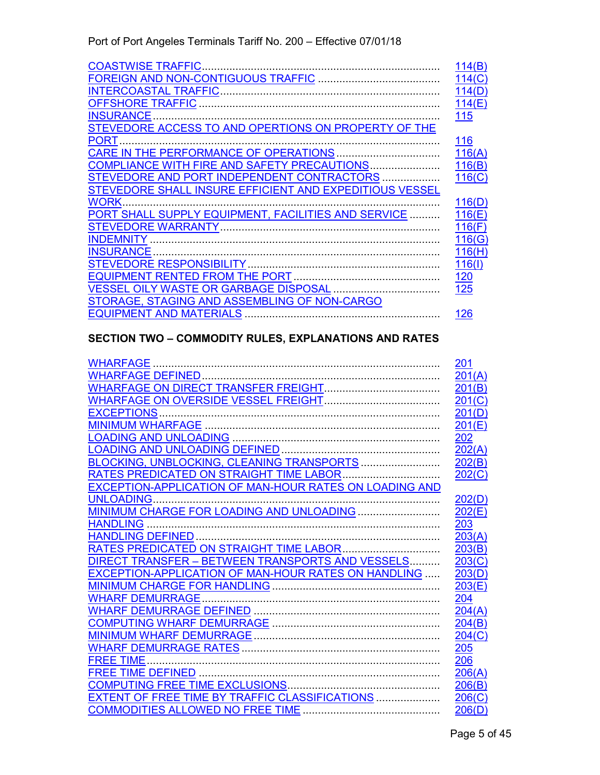| <b>COASTWISE TRAFFIC</b>                                | 114(B)     |
|---------------------------------------------------------|------------|
|                                                         | 114(C)     |
|                                                         | 114(D)     |
| <b>OFFSHORE TRAFFIC</b>                                 | 114(E)     |
| <b>INSURANCE</b>                                        | 115        |
| STEVEDORE ACCESS TO AND OPERTIONS ON PROPERTY OF THE    |            |
| <b>PORT</b>                                             | 116        |
| CARE IN THE PERFORMANCE OF OPERATIONS                   | 116(A)     |
| COMPLIANCE WITH FIRE AND SAFETY PRECAUTIONS             | 116(B)     |
| STEVEDORE AND PORT INDEPENDENT CONTRACTORS              | 116(C)     |
| STEVEDORE SHALL INSURE EFFICIENT AND EXPEDITIOUS VESSEL |            |
| <b>WORK</b>                                             | 116(D)     |
| PORT SHALL SUPPLY EQUIPMENT, FACILITIES AND SERVICE     | 116(E)     |
| <b>STEVEDORE WARRANTY</b>                               | 116(F)     |
| <b>INDEMNITY</b>                                        | 116(G)     |
| <b>INSURANCE</b>                                        | 116(H)     |
| <b>STEVEDORE RESPONSIBILITY.</b>                        | 116(1)     |
|                                                         | <u>120</u> |
|                                                         | 125        |
| STORAGE, STAGING AND ASSEMBLING OF NON-CARGO            |            |
| <b>EQUIPMENT AND MATERIALS</b>                          | 126        |

#### **SECTION TWO – COMMODITY RULES, EXPLANATIONS AND RATES**

|                                                        | 201    |
|--------------------------------------------------------|--------|
|                                                        | 201(A) |
|                                                        | 201(B) |
|                                                        | 201(C) |
|                                                        | 201(D) |
|                                                        | 201(E) |
|                                                        | 202    |
|                                                        | 202(A) |
| BLOCKING, UNBLOCKING, CLEANING TRANSPORTS              | 202(B) |
| RATES PREDICATED ON STRAIGHT TIME LABOR                | 202(C) |
| EXCEPTION-APPLICATION OF MAN-HOUR RATES ON LOADING AND |        |
| <b>UNLOADING.</b>                                      | 202(D) |
|                                                        | 202(E) |
| <b>HANDLING</b>                                        | 203    |
|                                                        | 203(A) |
| RATES PREDICATED ON STRAIGHT TIME LABOR                | 203(B) |
| DIRECT TRANSFER - BETWEEN TRANSPORTS AND VESSELS       | 203(C) |
| EXCEPTION-APPLICATION OF MAN-HOUR RATES ON HANDLING    | 203(D) |
|                                                        | 203(E) |
|                                                        | 204    |
|                                                        | 204(A) |
|                                                        | 204(B) |
|                                                        | 204(C) |
|                                                        | 205    |
| <b>FREE TIME</b>                                       | 206    |
|                                                        | 206(A) |
|                                                        | 206(B) |
| EXTENT OF FREE TIME BY TRAFFIC CLASSIFICATIONS         | 206(C) |
|                                                        | 206(D) |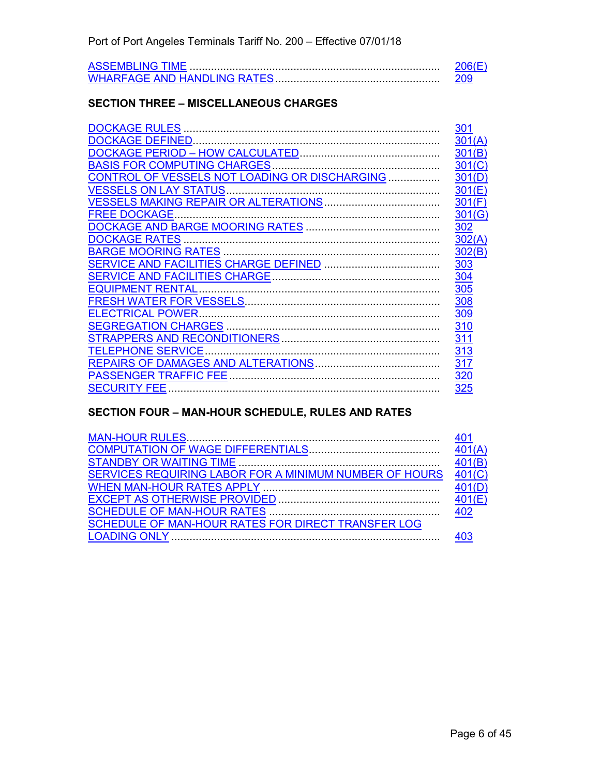#### **SECTION THREE – MISCELLANEOUS CHARGES**

|                                                            | 301    |
|------------------------------------------------------------|--------|
|                                                            | 301(A) |
|                                                            | 301(B) |
|                                                            | 301(C) |
| CONTROL OF VESSELS NOT LOADING OR DISCHARGING              | 301(D) |
|                                                            | 301(E) |
|                                                            | 301(F) |
| <b>FREE DOCKAGE.</b>                                       | 301(G) |
|                                                            | 302    |
| <b>DOCKAGE RATES</b>                                       | 302(A) |
|                                                            | 302(B) |
|                                                            | 303    |
|                                                            | 304    |
|                                                            | 305    |
|                                                            | 308    |
| <b>ELECTRICAL POWER.</b>                                   | 309    |
|                                                            | 310    |
|                                                            | 311    |
| ———<br>……………………………………………………………<br><b>TELEPHONE SERVICE</b> | 313    |
|                                                            | 317    |
|                                                            | 320    |
| <b>SECURITY FEE</b>                                        | 325    |

#### **SECTION FOUR – MAN-HOUR SCHEDULE, RULES AND RATES**

| SERVICES REQUIRING LABOR FOR A MINIMUM NUMBER OF HOURS 401(C) |  |
|---------------------------------------------------------------|--|
|                                                               |  |
|                                                               |  |
|                                                               |  |
| SCHEDULE OF MAN-HOUR RATES FOR DIRECT TRANSFER LOG            |  |
|                                                               |  |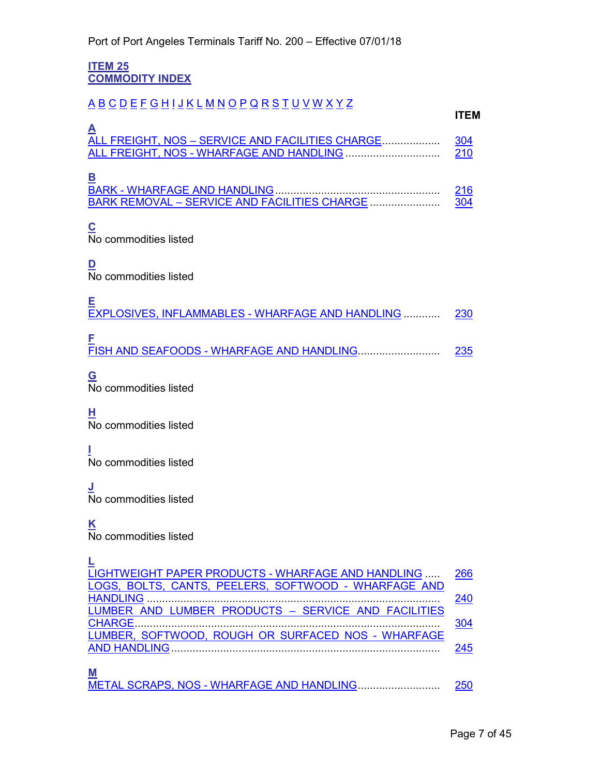<span id="page-6-1"></span><span id="page-6-0"></span>**ITEM 25 COMMODITY INDEX**

### <span id="page-6-6"></span><span id="page-6-5"></span><span id="page-6-4"></span><span id="page-6-3"></span><span id="page-6-2"></span>[A](#page-6-2) [B](#page-6-3) [C](#page-6-4) [D](#page-6-5) [E](#page-6-6) [F](#page-6-7) [G](#page-6-8) [H](#page-6-9) [I](#page-6-10) [J](#page-6-11) [K](#page-6-12) [L](#page-6-13) [M](#page-6-14) [N](#page-7-0) [O](#page-7-1) [P](#page-7-2) [Q](#page-7-3) [R](#page-7-4) [S](#page-7-5) [T](#page-7-6) [U](#page-7-7) [V](#page-7-8) [W](#page-7-9) [X](#page-7-10) [Y](#page-7-11) [Z](#page-7-12) **ITEM A** ALL FREIGHT, NOS – [SERVICE AND FACILITIES CHARGE.](#page-37-0).................. [304](#page-37-1) ALL FREIGHT, NOS - [WHARFAGE AND HANDLING](#page-31-0) ............................... [210](#page-31-0) **B** BARK - [WHARFAGE AND HANDLING.](#page-31-1)..................................................... [216](#page-31-2) BARK REMOVAL – [SERVICE AND FACILITIES CHARGE](#page-37-2) ....................... [304](#page-37-1) **C** No commodities listed **D** No commodities listed **E** [EXPLOSIVES, INFLAMMABLES](#page-31-3) - WHARFAGE AND HANDLING ............ [230](#page-31-4) **F** FISH AND SEAFOODS - [WHARFAGE AND HANDLING.](#page-31-5).......................... [235](#page-31-6) **G** No commodities listed **H** No commodities listed **I** No commodities listed **J** No commodities listed **K** No commodities listed

<span id="page-6-14"></span><span id="page-6-13"></span><span id="page-6-12"></span><span id="page-6-11"></span><span id="page-6-10"></span><span id="page-6-9"></span><span id="page-6-8"></span><span id="page-6-7"></span>

| LIGHTWEIGHT PAPER PRODUCTS - WHARFAGE AND HANDLING   | 266 |
|------------------------------------------------------|-----|
| LOGS, BOLTS, CANTS, PEELERS, SOFTWOOD - WHARFAGE AND |     |
|                                                      | 240 |
| LUMBER AND LUMBER PRODUCTS - SERVICE AND FACILITIES  |     |
|                                                      | 304 |
| LUMBER, SOFTWOOD, ROUGH OR SURFACED NOS - WHARFAGE   |     |
|                                                      | 245 |
|                                                      |     |
| M                                                    |     |
| METAL SCRAPS, NOS - WHARFAGE AND HANDLING            | 250 |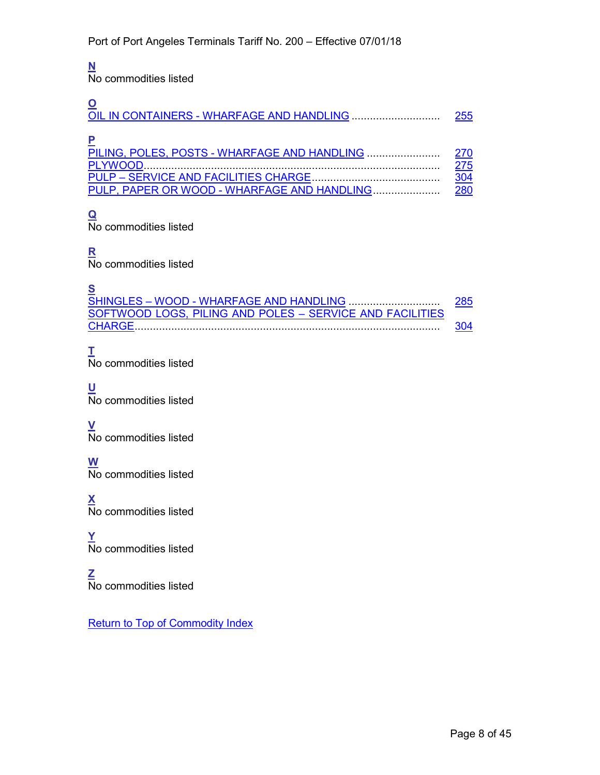#### <span id="page-7-0"></span>**N**

No commodities listed

<span id="page-7-2"></span><span id="page-7-1"></span>

|                                             | 255        |
|---------------------------------------------|------------|
|                                             | 270        |
|                                             | 275        |
|                                             | <u>304</u> |
| PULP, PAPER OR WOOD - WHARFAGE AND HANDLING | 280        |

### <span id="page-7-3"></span>**Q**

No commodities listed

<span id="page-7-4"></span>**R** No commodities listed

<span id="page-7-5"></span>**S** SHINGLES – WOOD - [WHARFAGE AND HANDLING](#page-32-8) .............................. [285](#page-32-9) [SOFTWOOD LOGS, PILING AND POLES –](#page-37-5) SERVICE AND FACILITIES [CHARGE.](#page-37-5)................................................................................................... [304](#page-37-5)

### <span id="page-7-6"></span>**T**

No commodities listed

<span id="page-7-7"></span>**U** No commodities listed

<span id="page-7-8"></span>**V** No commodities listed

<span id="page-7-9"></span>**W** No commodities listed

<span id="page-7-10"></span>**X** No commodities listed

<span id="page-7-11"></span>**Y** No commodities listed

<span id="page-7-12"></span>**Z** No commodities listed

[Return to Top of Commodity Index](#page-6-0)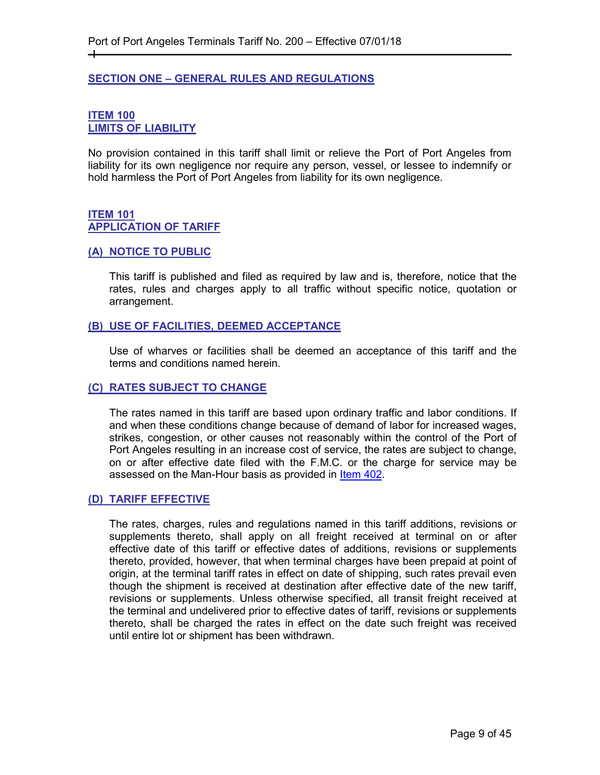#### <span id="page-8-0"></span>**SECTION ONE – GENERAL RULES AND REGULATIONS**

#### <span id="page-8-2"></span><span id="page-8-1"></span>**ITEM 100 LIMITS OF LIABILITY**

┿

No provision contained in this tariff shall limit or relieve the Port of Port Angeles from liability for its own negligence nor require any person, vessel, or lessee to indemnify or hold harmless the Port of Port Angeles from liability for its own negligence.

#### <span id="page-8-4"></span><span id="page-8-3"></span>**ITEM 101 APPLICATION OF TARIFF**

#### <span id="page-8-5"></span>**(A) NOTICE TO PUBLIC**

This tariff is published and filed as required by law and is, therefore, notice that the rates, rules and charges apply to all traffic without specific notice, quotation or arrangement.

#### <span id="page-8-6"></span>**(B) USE OF FACILITIES, DEEMED ACCEPTANCE**

Use of wharves or facilities shall be deemed an acceptance of this tariff and the terms and conditions named herein.

#### <span id="page-8-7"></span>**(C) RATES SUBJECT TO CHANGE**

The rates named in this tariff are based upon ordinary traffic and labor conditions. If and when these conditions change because of demand of labor for increased wages, strikes, congestion, or other causes not reasonably within the control of the Port of Port Angeles resulting in an increase cost of service, the rates are subject to change, on or after effective date filed with the F.M.C. or the charge for service may be assessed on the Man-Hour basis as provided in [Item 402.](#page-43-2)

#### <span id="page-8-8"></span>**(D) TARIFF EFFECTIVE**

The rates, charges, rules and regulations named in this tariff additions, revisions or supplements thereto, shall apply on all freight received at terminal on or after effective date of this tariff or effective dates of additions, revisions or supplements thereto, provided, however, that when terminal charges have been prepaid at point of origin, at the terminal tariff rates in effect on date of shipping, such rates prevail even though the shipment is received at destination after effective date of the new tariff, revisions or supplements. Unless otherwise specified, all transit freight received at the terminal and undelivered prior to effective dates of tariff, revisions or supplements thereto, shall be charged the rates in effect on the date such freight was received until entire lot or shipment has been withdrawn.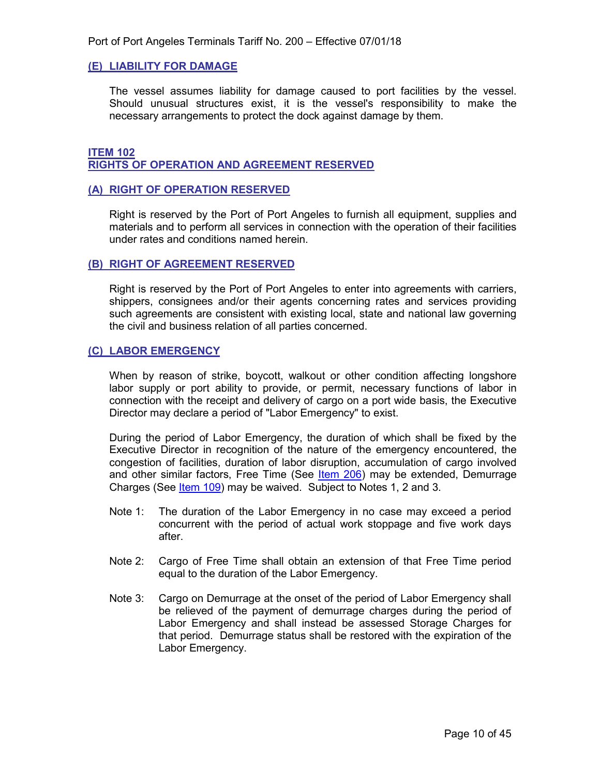#### <span id="page-9-0"></span>**(E) LIABILITY FOR DAMAGE**

The vessel assumes liability for damage caused to port facilities by the vessel. Should unusual structures exist, it is the vessel's responsibility to make the necessary arrangements to protect the dock against damage by them.

#### <span id="page-9-2"></span><span id="page-9-1"></span>**ITEM 102 RIGHTS OF OPERATION AND AGREEMENT RESERVED**

#### <span id="page-9-3"></span>**(A) RIGHT OF OPERATION RESERVED**

Right is reserved by the Port of Port Angeles to furnish all equipment, supplies and materials and to perform all services in connection with the operation of their facilities under rates and conditions named herein.

#### <span id="page-9-4"></span>**(B) RIGHT OF AGREEMENT RESERVED**

Right is reserved by the Port of Port Angeles to enter into agreements with carriers, shippers, consignees and/or their agents concerning rates and services providing such agreements are consistent with existing local, state and national law governing the civil and business relation of all parties concerned.

#### <span id="page-9-5"></span>**(C) LABOR EMERGENCY**

When by reason of strike, boycott, walkout or other condition affecting longshore labor supply or port ability to provide, or permit, necessary functions of labor in connection with the receipt and delivery of cargo on a port wide basis, the Executive Director may declare a period of "Labor Emergency" to exist.

During the period of Labor Emergency, the duration of which shall be fixed by the Executive Director in recognition of the nature of the emergency encountered, the congestion of facilities, duration of labor disruption, accumulation of cargo involved and other similar factors, Free Time (See [Item 206\)](#page-29-2) may be extended, Demurrage Charges (See [Item 109\)](#page-17-1) may be waived. Subject to Notes 1, 2 and 3.

- Note 1: The duration of the Labor Emergency in no case may exceed a period concurrent with the period of actual work stoppage and five work days after.
- Note 2: Cargo of Free Time shall obtain an extension of that Free Time period equal to the duration of the Labor Emergency.
- Note 3: Cargo on Demurrage at the onset of the period of Labor Emergency shall be relieved of the payment of demurrage charges during the period of Labor Emergency and shall instead be assessed Storage Charges for that period. Demurrage status shall be restored with the expiration of the Labor Emergency.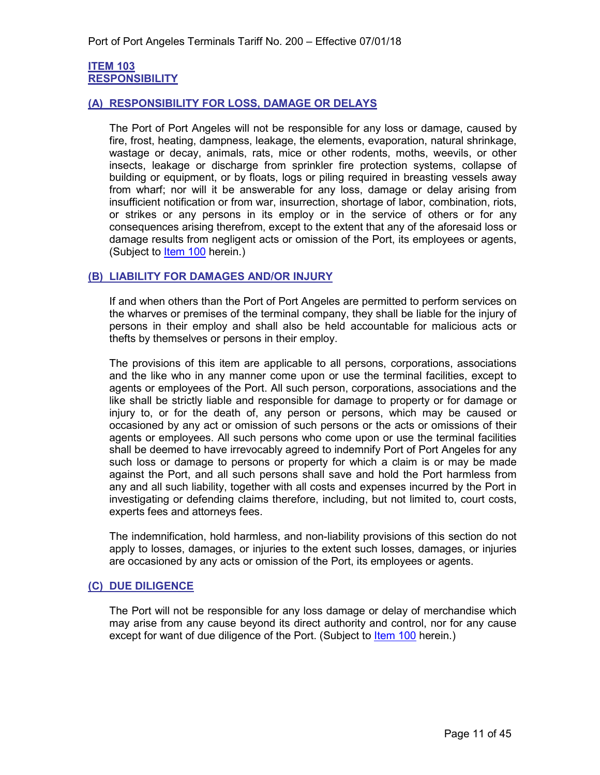#### <span id="page-10-1"></span><span id="page-10-0"></span>**ITEM 103 RESPONSIBILITY**

#### <span id="page-10-2"></span>**(A) RESPONSIBILITY FOR LOSS, DAMAGE OR DELAYS**

The Port of Port Angeles will not be responsible for any loss or damage, caused by fire, frost, heating, dampness, leakage, the elements, evaporation, natural shrinkage, wastage or decay, animals, rats, mice or other rodents, moths, weevils, or other insects, leakage or discharge from sprinkler fire protection systems, collapse of building or equipment, or by floats, logs or piling required in breasting vessels away from wharf; nor will it be answerable for any loss, damage or delay arising from insufficient notification or from war, insurrection, shortage of labor, combination, riots, or strikes or any persons in its employ or in the service of others or for any consequences arising therefrom, except to the extent that any of the aforesaid loss or damage results from negligent acts or omission of the Port, its employees or agents, (Subject to **Item 100** herein.)

#### <span id="page-10-3"></span>**(B) LIABILITY FOR DAMAGES AND/OR INJURY**

If and when others than the Port of Port Angeles are permitted to perform services on the wharves or premises of the terminal company, they shall be liable for the injury of persons in their employ and shall also be held accountable for malicious acts or thefts by themselves or persons in their employ.

The provisions of this item are applicable to all persons, corporations, associations and the like who in any manner come upon or use the terminal facilities, except to agents or employees of the Port. All such person, corporations, associations and the like shall be strictly liable and responsible for damage to property or for damage or injury to, or for the death of, any person or persons, which may be caused or occasioned by any act or omission of such persons or the acts or omissions of their agents or employees. All such persons who come upon or use the terminal facilities shall be deemed to have irrevocably agreed to indemnify Port of Port Angeles for any such loss or damage to persons or property for which a claim is or may be made against the Port, and all such persons shall save and hold the Port harmless from any and all such liability, together with all costs and expenses incurred by the Port in investigating or defending claims therefore, including, but not limited to, court costs, experts fees and attorneys fees.

The indemnification, hold harmless, and non-liability provisions of this section do not apply to losses, damages, or injuries to the extent such losses, damages, or injuries are occasioned by any acts or omission of the Port, its employees or agents.

#### <span id="page-10-4"></span>**(C) DUE DILIGENCE**

The Port will not be responsible for any loss damage or delay of merchandise which may arise from any cause beyond its direct authority and control, nor for any cause except for want of due diligence of the Port. (Subject to [Item 100](#page-8-2) herein.)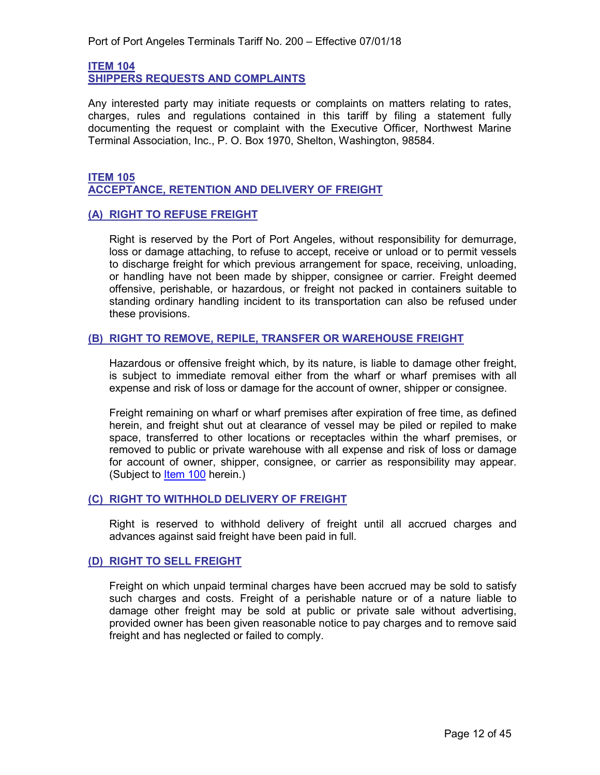<span id="page-11-1"></span><span id="page-11-0"></span>**ITEM 104 SHIPPERS REQUESTS AND COMPLAINTS**

Any interested party may initiate requests or complaints on matters relating to rates, charges, rules and regulations contained in this tariff by filing a statement fully documenting the request or complaint with the Executive Officer, Northwest Marine Terminal Association, Inc., P. O. Box 1970, Shelton, Washington, 98584.

#### <span id="page-11-3"></span><span id="page-11-2"></span>**ITEM 105 ACCEPTANCE, RETENTION AND DELIVERY OF FREIGHT**

#### <span id="page-11-4"></span>**(A) RIGHT TO REFUSE FREIGHT**

Right is reserved by the Port of Port Angeles, without responsibility for demurrage, loss or damage attaching, to refuse to accept, receive or unload or to permit vessels to discharge freight for which previous arrangement for space, receiving, unloading, or handling have not been made by shipper, consignee or carrier. Freight deemed offensive, perishable, or hazardous, or freight not packed in containers suitable to standing ordinary handling incident to its transportation can also be refused under these provisions.

#### <span id="page-11-5"></span>**(B) RIGHT TO REMOVE, REPILE, TRANSFER OR WAREHOUSE FREIGHT**

Hazardous or offensive freight which, by its nature, is liable to damage other freight, is subject to immediate removal either from the wharf or wharf premises with all expense and risk of loss or damage for the account of owner, shipper or consignee.

Freight remaining on wharf or wharf premises after expiration of free time, as defined herein, and freight shut out at clearance of vessel may be piled or repiled to make space, transferred to other locations or receptacles within the wharf premises, or removed to public or private warehouse with all expense and risk of loss or damage for account of owner, shipper, consignee, or carrier as responsibility may appear. (Subject to [Item](#page-8-2) 100 herein.)

#### <span id="page-11-6"></span>**(C) RIGHT TO WITHHOLD DELIVERY OF FREIGHT**

Right is reserved to withhold delivery of freight until all accrued charges and advances against said freight have been paid in full.

#### <span id="page-11-7"></span>**(D) RIGHT TO SELL FREIGHT**

Freight on which unpaid terminal charges have been accrued may be sold to satisfy such charges and costs. Freight of a perishable nature or of a nature liable to damage other freight may be sold at public or private sale without advertising, provided owner has been given reasonable notice to pay charges and to remove said freight and has neglected or failed to comply.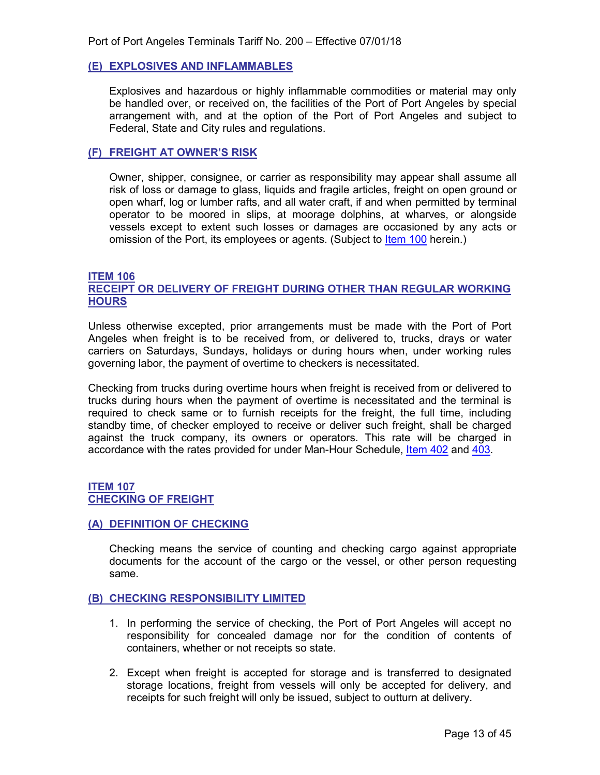#### <span id="page-12-0"></span>**(E) EXPLOSIVES AND INFLAMMABLES**

Explosives and hazardous or highly inflammable commodities or material may only be handled over, or received on, the facilities of the Port of Port Angeles by special arrangement with, and at the option of the Port of Port Angeles and subject to Federal, State and City rules and regulations.

#### <span id="page-12-1"></span>**(F) FREIGHT AT OWNER'S RISK**

Owner, shipper, consignee, or carrier as responsibility may appear shall assume all risk of loss or damage to glass, liquids and fragile articles, freight on open ground or open wharf, log or lumber rafts, and all water craft, if and when permitted by terminal operator to be moored in slips, at moorage dolphins, at wharves, or alongside vessels except to extent such losses or damages are occasioned by any acts or omission of the Port, its employees or agents. (Subject to [Item 100](#page-17-5) herein.)

#### <span id="page-12-3"></span>**ITEM 106**

#### <span id="page-12-2"></span>**RECEIPT OR DELIVERY OF FREIGHT DURING OTHER THAN REGULAR WORKING HOURS**

Unless otherwise excepted, prior arrangements must be made with the Port of Port Angeles when freight is to be received from, or delivered to, trucks, drays or water carriers on Saturdays, Sundays, holidays or during hours when, under working rules governing labor, the payment of overtime to checkers is necessitated.

Checking from trucks during overtime hours when freight is received from or delivered to trucks during hours when the payment of overtime is necessitated and the terminal is required to check same or to furnish receipts for the freight, the full time, including standby time, of checker employed to receive or deliver such freight, shall be charged against the truck company, its owners or operators. This rate will be charged in accordance with the rates provided for under Man-Hour Schedule, [Item 402](#page-43-2) and [403.](#page-44-1)

#### <span id="page-12-5"></span><span id="page-12-4"></span>**ITEM 107 CHECKING OF FREIGHT**

#### <span id="page-12-6"></span>**(A) DEFINITION OF CHECKING**

Checking means the service of counting and checking cargo against appropriate documents for the account of the cargo or the vessel, or other person requesting same.

#### <span id="page-12-7"></span>**(B) CHECKING RESPONSIBILITY LIMITED**

- 1. In performing the service of checking, the Port of Port Angeles will accept no responsibility for concealed damage nor for the condition of contents of containers, whether or not receipts so state.
- 2. Except when freight is accepted for storage and is transferred to designated storage locations, freight from vessels will only be accepted for delivery, and receipts for such freight will only be issued, subject to outturn at delivery.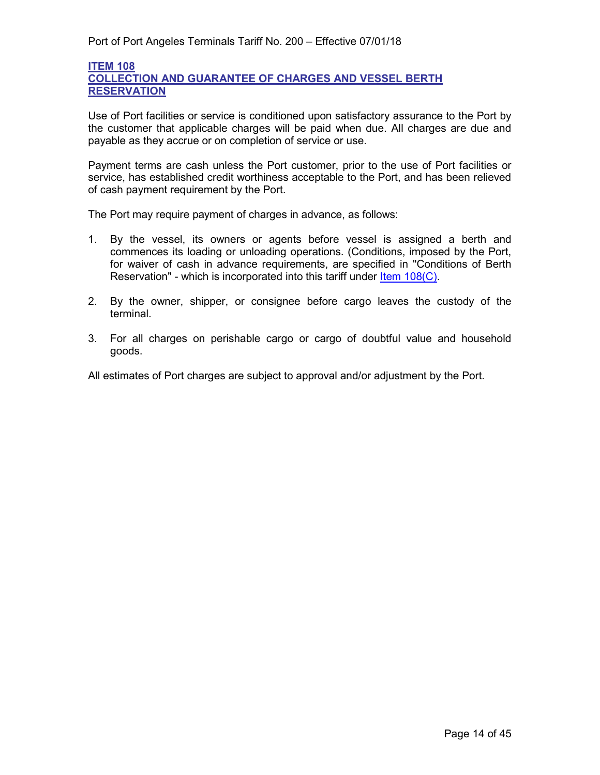#### <span id="page-13-2"></span><span id="page-13-1"></span>**ITEM 108 COLLECTION AND GUARANTEE OF CHARGES AND VESSEL BERTH RESERVATION**

Use of Port facilities or service is conditioned upon satisfactory assurance to the Port by the customer that applicable charges will be paid when due. All charges are due and payable as they accrue or on completion of service or use.

Payment terms are cash unless the Port customer, prior to the use of Port facilities or service, has established credit worthiness acceptable to the Port, and has been relieved of cash payment requirement by the Port.

The Port may require payment of charges in advance, as follows:

- 1. By the vessel, its owners or agents before vessel is assigned a berth and commences its loading or unloading operations. (Conditions, imposed by the Port, for waiver of cash in advance requirements, are specified in "Conditions of Berth Reservation" - which is incorporated into this tariff under [Item 108\(C\).](#page-16-0)
- 2. By the owner, shipper, or consignee before cargo leaves the custody of the terminal.
- 3. For all charges on perishable cargo or cargo of doubtful value and household goods.

<span id="page-13-0"></span>All estimates of Port charges are subject to approval and/or adjustment by the Port.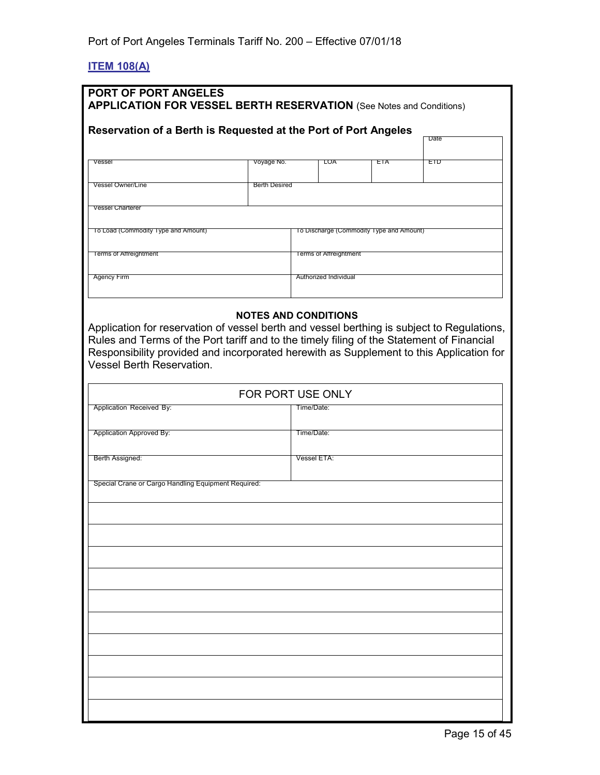#### <span id="page-14-0"></span>**ITEM 108(A)**

| Reservation of a Berth is Requested at the Port of Port Angeles |                      |                                          |            | Date |
|-----------------------------------------------------------------|----------------------|------------------------------------------|------------|------|
| Vessel                                                          | Voyage No.           | LOA                                      | <b>EIA</b> | ETD. |
| <b>Vessel Owner/Line</b>                                        | <b>Berth Desired</b> |                                          |            |      |
| <b>Vessel Charterer</b>                                         |                      |                                          |            |      |
| To Load (Commodity Type and Amount)                             |                      | To Discharge (Commodity Type and Amount) |            |      |
| <b>Terms of Affreightment</b>                                   |                      | <b>lerms of Affreightment</b>            |            |      |
| Agency Firm                                                     |                      | Authorized Individual                    |            |      |

Rules and Terms of the Port tariff and to the timely filing of the Statement of Financial Responsibility provided and incorporated herewith as Supplement to this Application for Vessel Berth Reservation.

| FOR PORT USE ONLY                                   |             |  |
|-----------------------------------------------------|-------------|--|
| Application Received By:                            | Time/Date:  |  |
| Application Approved By:                            | Time/Date:  |  |
| Berth Assigned:                                     | Vessel ETA: |  |
| Special Crane or Cargo Handling Equipment Required: |             |  |
|                                                     |             |  |
|                                                     |             |  |
|                                                     |             |  |
|                                                     |             |  |
|                                                     |             |  |
|                                                     |             |  |
|                                                     |             |  |
|                                                     |             |  |
|                                                     |             |  |
|                                                     |             |  |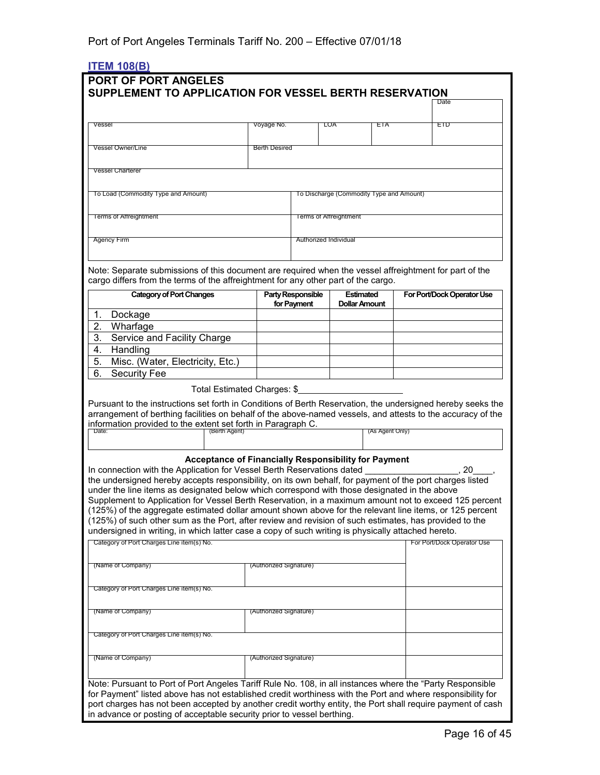#### <span id="page-15-0"></span>**ITEM 108(B)**

| SUPPLEMENT TO APPLICATION FOR VESSEL BERTH RESERVATION                                                                                                                                                                                                                                                    |               |                        |                                         |                                          |                 | Date                       |
|-----------------------------------------------------------------------------------------------------------------------------------------------------------------------------------------------------------------------------------------------------------------------------------------------------------|---------------|------------------------|-----------------------------------------|------------------------------------------|-----------------|----------------------------|
|                                                                                                                                                                                                                                                                                                           |               |                        |                                         |                                          |                 |                            |
| Vessel                                                                                                                                                                                                                                                                                                    |               | Voyage No.             |                                         | LOA                                      | ETA             | EID                        |
|                                                                                                                                                                                                                                                                                                           |               |                        |                                         |                                          |                 |                            |
| <b>Vessel Owner/Line</b>                                                                                                                                                                                                                                                                                  |               | <b>Berth Desired</b>   |                                         |                                          |                 |                            |
|                                                                                                                                                                                                                                                                                                           |               |                        |                                         |                                          |                 |                            |
| <b>Vessel Charterer</b>                                                                                                                                                                                                                                                                                   |               |                        |                                         |                                          |                 |                            |
| To Load (Commodity Type and Amount)                                                                                                                                                                                                                                                                       |               |                        |                                         | To Discharge (Commodity Type and Amount) |                 |                            |
|                                                                                                                                                                                                                                                                                                           |               |                        |                                         |                                          |                 |                            |
| <b>Terms of Affreightment</b>                                                                                                                                                                                                                                                                             |               |                        |                                         | Terms of Affreightment                   |                 |                            |
|                                                                                                                                                                                                                                                                                                           |               |                        |                                         |                                          |                 |                            |
| Agency Firm                                                                                                                                                                                                                                                                                               |               |                        | Authorized Individual                   |                                          |                 |                            |
|                                                                                                                                                                                                                                                                                                           |               |                        |                                         |                                          |                 |                            |
| Note: Separate submissions of this document are required when the vessel affreightment for part of the                                                                                                                                                                                                    |               |                        |                                         |                                          |                 |                            |
| cargo differs from the terms of the affreightment for any other part of the cargo.                                                                                                                                                                                                                        |               |                        |                                         |                                          |                 |                            |
| <b>Category of Port Changes</b>                                                                                                                                                                                                                                                                           |               |                        | <b>Party Responsible</b><br>for Payment | <b>Estimated</b><br><b>Dollar Amount</b> |                 | For Port/Dock Operator Use |
| 1.<br>Dockage                                                                                                                                                                                                                                                                                             |               |                        |                                         |                                          |                 |                            |
| 2.<br>Wharfage                                                                                                                                                                                                                                                                                            |               |                        |                                         |                                          |                 |                            |
| 3.<br>Service and Facility Charge                                                                                                                                                                                                                                                                         |               |                        |                                         |                                          |                 |                            |
| $\overline{4}$ .<br>Handling                                                                                                                                                                                                                                                                              |               |                        |                                         |                                          |                 |                            |
| 5.<br>Misc. (Water, Electricity, Etc.)                                                                                                                                                                                                                                                                    |               |                        |                                         |                                          |                 |                            |
| 6.<br><b>Security Fee</b>                                                                                                                                                                                                                                                                                 |               |                        |                                         |                                          |                 |                            |
| Pursuant to the instructions set forth in Conditions of Berth Reservation, the undersigned hereby seeks the<br>arrangement of berthing facilities on behalf of the above-named vessels, and attests to the accuracy of the<br>information provided to the extent set forth in Paragraph C.<br><b>Date</b> | (Berth Agent) |                        |                                         |                                          | (As Agent Only) |                            |
|                                                                                                                                                                                                                                                                                                           |               |                        |                                         |                                          |                 |                            |
| <b>Acceptance of Financially Responsibility for Payment</b>                                                                                                                                                                                                                                               |               |                        |                                         |                                          |                 |                            |
| In connection with the Application for Vessel Berth Reservations dated                                                                                                                                                                                                                                    |               |                        |                                         |                                          |                 | 20                         |
| the undersigned hereby accepts responsibility, on its own behalf, for payment of the port charges listed<br>under the line items as designated below which correspond with those designated in the above                                                                                                  |               |                        |                                         |                                          |                 |                            |
| Supplement to Application for Vessel Berth Reservation, in a maximum amount not to exceed 125 percent                                                                                                                                                                                                     |               |                        |                                         |                                          |                 |                            |
| (125%) of the aggregate estimated dollar amount shown above for the relevant line items, or 125 percent                                                                                                                                                                                                   |               |                        |                                         |                                          |                 |                            |
| (125%) of such other sum as the Port, after review and revision of such estimates, has provided to the<br>undersigned in writing, in which latter case a copy of such writing is physically attached hereto.                                                                                              |               |                        |                                         |                                          |                 |                            |
| Category of Port Charges Line item(s) No.                                                                                                                                                                                                                                                                 |               |                        |                                         |                                          |                 | For Port/Dock Operator Use |
|                                                                                                                                                                                                                                                                                                           |               |                        |                                         |                                          |                 |                            |
| (Name of Company)                                                                                                                                                                                                                                                                                         |               | (Authorized Signature) |                                         |                                          |                 |                            |
|                                                                                                                                                                                                                                                                                                           |               |                        |                                         |                                          |                 |                            |
| Category of Port Charges Line item(s) No.                                                                                                                                                                                                                                                                 |               |                        |                                         |                                          |                 |                            |
| (Name of Company)                                                                                                                                                                                                                                                                                         |               | (Authorized Signature) |                                         |                                          |                 |                            |
|                                                                                                                                                                                                                                                                                                           |               |                        |                                         |                                          |                 |                            |
| Category of Port Charges Line item(s) No.                                                                                                                                                                                                                                                                 |               |                        |                                         |                                          |                 |                            |
|                                                                                                                                                                                                                                                                                                           |               |                        |                                         |                                          |                 |                            |
| (Name of Company)                                                                                                                                                                                                                                                                                         |               | (Authorized Signature) |                                         |                                          |                 |                            |
|                                                                                                                                                                                                                                                                                                           |               |                        |                                         |                                          |                 |                            |
|                                                                                                                                                                                                                                                                                                           |               |                        |                                         |                                          |                 |                            |
| Note: Pursuant to Port of Port Angeles Tariff Rule No. 108, in all instances where the "Party Responsible                                                                                                                                                                                                 |               |                        |                                         |                                          |                 |                            |
| for Payment" listed above has not established credit worthiness with the Port and where responsibility for<br>port charges has not been accepted by another credit worthy entity, the Port shall require payment of cash                                                                                  |               |                        |                                         |                                          |                 |                            |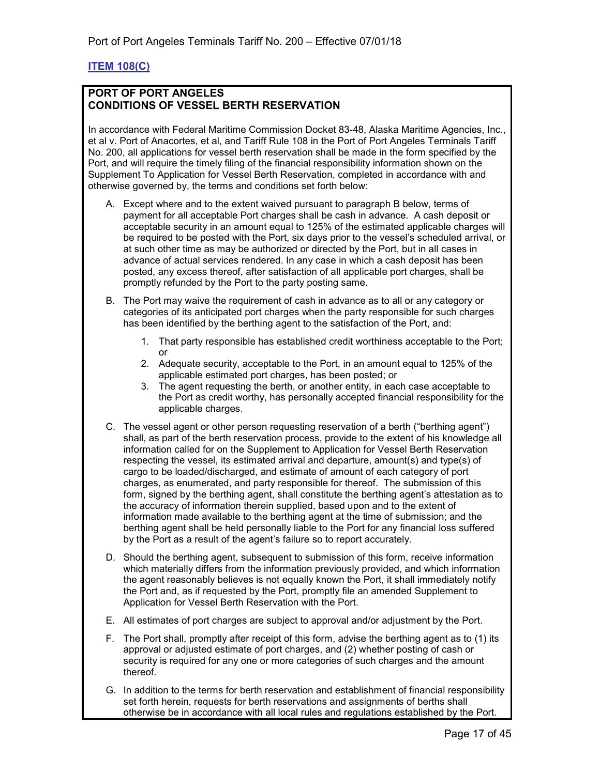#### <span id="page-16-0"></span>**ITEM 108(C)**

#### **PORT OF PORT ANGELES CONDITIONS OF VESSEL BERTH RESERVATION**

In accordance with Federal Maritime Commission Docket 83-48, Alaska Maritime Agencies, Inc., et al v. Port of Anacortes, et al, and Tariff Rule 108 in the Port of Port Angeles Terminals Tariff No. 200, all applications for vessel berth reservation shall be made in the form specified by the Port, and will require the timely filing of the financial responsibility information shown on the Supplement To Application for Vessel Berth Reservation, completed in accordance with and otherwise governed by, the terms and conditions set forth below:

- A. Except where and to the extent waived pursuant to paragraph B below, terms of payment for all acceptable Port charges shall be cash in advance. A cash deposit or acceptable security in an amount equal to 125% of the estimated applicable charges will be required to be posted with the Port, six days prior to the vessel's scheduled arrival, or at such other time as may be authorized or directed by the Port, but in all cases in advance of actual services rendered. In any case in which a cash deposit has been posted, any excess thereof, after satisfaction of all applicable port charges, shall be promptly refunded by the Port to the party posting same.
- B. The Port may waive the requirement of cash in advance as to all or any category or categories of its anticipated port charges when the party responsible for such charges has been identified by the berthing agent to the satisfaction of the Port, and:
	- 1. That party responsible has established credit worthiness acceptable to the Port; or
	- 2. Adequate security, acceptable to the Port, in an amount equal to 125% of the applicable estimated port charges, has been posted; or
	- 3. The agent requesting the berth, or another entity, in each case acceptable to the Port as credit worthy, has personally accepted financial responsibility for the applicable charges.
- C. The vessel agent or other person requesting reservation of a berth ("berthing agent") shall, as part of the berth reservation process, provide to the extent of his knowledge all information called for on the Supplement to Application for Vessel Berth Reservation respecting the vessel, its estimated arrival and departure, amount(s) and type(s) of cargo to be loaded/discharged, and estimate of amount of each category of port charges, as enumerated, and party responsible for thereof. The submission of this form, signed by the berthing agent, shall constitute the berthing agent's attestation as to the accuracy of information therein supplied, based upon and to the extent of information made available to the berthing agent at the time of submission; and the berthing agent shall be held personally liable to the Port for any financial loss suffered by the Port as a result of the agent's failure so to report accurately.
- D. Should the berthing agent, subsequent to submission of this form, receive information which materially differs from the information previously provided, and which information the agent reasonably believes is not equally known the Port, it shall immediately notify the Port and, as if requested by the Port, promptly file an amended Supplement to Application for Vessel Berth Reservation with the Port.
- E. All estimates of port charges are subject to approval and/or adjustment by the Port.
- F. The Port shall, promptly after receipt of this form, advise the berthing agent as to (1) its approval or adjusted estimate of port charges, and (2) whether posting of cash or security is required for any one or more categories of such charges and the amount thereof.
- G. In addition to the terms for berth reservation and establishment of financial responsibility set forth herein, requests for berth reservations and assignments of berths shall otherwise be in accordance with all local rules and regulations established by the Port.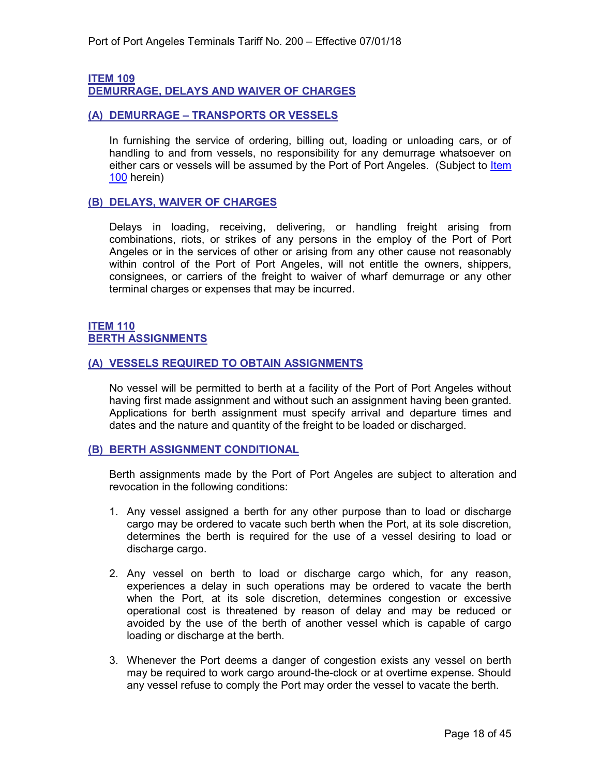#### <span id="page-17-1"></span>**ITEM 109**

<span id="page-17-0"></span>**DEMURRAGE, DELAYS AND WAIVER OF CHARGES**

#### <span id="page-17-2"></span>**(A) DEMURRAGE – TRANSPORTS OR VESSELS**

In furnishing the service of ordering, billing out, loading or unloading cars, or of handling to and from vessels, no responsibility for any demurrage whatsoever on either cars or vessels will be assumed by the Port of Port Angeles. (Subject to Item [100](#page-8-2) herein)

#### <span id="page-17-3"></span>**(B) DELAYS, WAIVER OF CHARGES**

Delays in loading, receiving, delivering, or handling freight arising from combinations, riots, or strikes of any persons in the employ of the Port of Port Angeles or in the services of other or arising from any other cause not reasonably within control of the Port of Port Angeles, will not entitle the owners, shippers, consignees, or carriers of the freight to waiver of wharf demurrage or any other terminal charges or expenses that may be incurred.

#### <span id="page-17-5"></span><span id="page-17-4"></span>**ITEM 110 BERTH ASSIGNMENTS**

#### <span id="page-17-6"></span>**(A) VESSELS REQUIRED TO OBTAIN ASSIGNMENTS**

No vessel will be permitted to berth at a facility of the Port of Port Angeles without having first made assignment and without such an assignment having been granted. Applications for berth assignment must specify arrival and departure times and dates and the nature and quantity of the freight to be loaded or discharged.

#### <span id="page-17-7"></span>**(B) BERTH ASSIGNMENT CONDITIONAL**

Berth assignments made by the Port of Port Angeles are subject to alteration and revocation in the following conditions:

- 1. Any vessel assigned a berth for any other purpose than to load or discharge cargo may be ordered to vacate such berth when the Port, at its sole discretion, determines the berth is required for the use of a vessel desiring to load or discharge cargo.
- 2. Any vessel on berth to load or discharge cargo which, for any reason, experiences a delay in such operations may be ordered to vacate the berth when the Port, at its sole discretion, determines congestion or excessive operational cost is threatened by reason of delay and may be reduced or avoided by the use of the berth of another vessel which is capable of cargo loading or discharge at the berth.
- 3. Whenever the Port deems a danger of congestion exists any vessel on berth may be required to work cargo around-the-clock or at overtime expense. Should any vessel refuse to comply the Port may order the vessel to vacate the berth.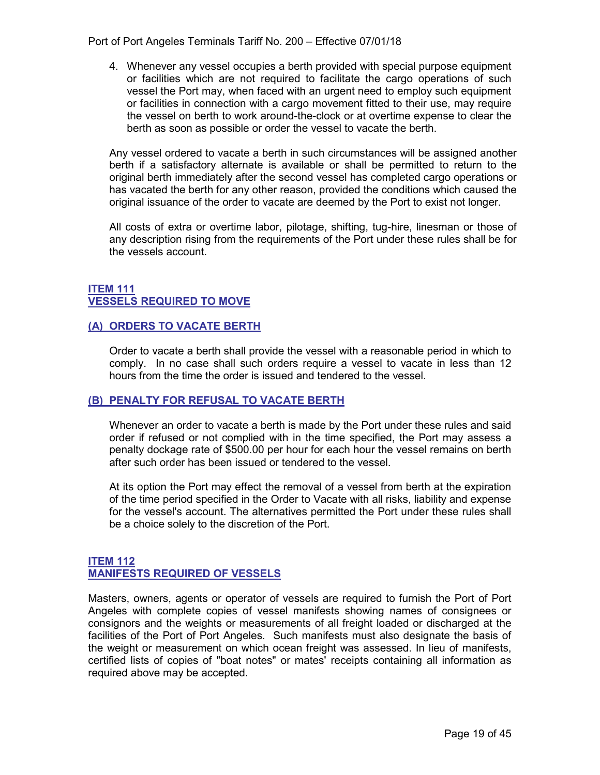Port of Port Angeles Terminals Tariff No. 200 – Effective 07/01/18

4. Whenever any vessel occupies a berth provided with special purpose equipment or facilities which are not required to facilitate the cargo operations of such vessel the Port may, when faced with an urgent need to employ such equipment or facilities in connection with a cargo movement fitted to their use, may require the vessel on berth to work around-the-clock or at overtime expense to clear the berth as soon as possible or order the vessel to vacate the berth.

Any vessel ordered to vacate a berth in such circumstances will be assigned another berth if a satisfactory alternate is available or shall be permitted to return to the original berth immediately after the second vessel has completed cargo operations or has vacated the berth for any other reason, provided the conditions which caused the original issuance of the order to vacate are deemed by the Port to exist not longer.

All costs of extra or overtime labor, pilotage, shifting, tug-hire, linesman or those of any description rising from the requirements of the Port under these rules shall be for the vessels account.

#### <span id="page-18-1"></span><span id="page-18-0"></span>**ITEM 111 VESSELS REQUIRED TO MOVE**

#### <span id="page-18-2"></span>**(A) ORDERS TO VACATE BERTH**

Order to vacate a berth shall provide the vessel with a reasonable period in which to comply. In no case shall such orders require a vessel to vacate in less than 12 hours from the time the order is issued and tendered to the vessel.

#### <span id="page-18-3"></span>**(B) PENALTY FOR REFUSAL TO VACATE BERTH**

Whenever an order to vacate a berth is made by the Port under these rules and said order if refused or not complied with in the time specified, the Port may assess a penalty dockage rate of \$500.00 per hour for each hour the vessel remains on berth after such order has been issued or tendered to the vessel.

At its option the Port may effect the removal of a vessel from berth at the expiration of the time period specified in the Order to Vacate with all risks, liability and expense for the vessel's account. The alternatives permitted the Port under these rules shall be a choice solely to the discretion of the Port.

#### <span id="page-18-5"></span><span id="page-18-4"></span>**ITEM 112 MANIFESTS REQUIRED OF VESSELS**

Masters, owners, agents or operator of vessels are required to furnish the Port of Port Angeles with complete copies of vessel manifests showing names of consignees or consignors and the weights or measurements of all freight loaded or discharged at the facilities of the Port of Port Angeles. Such manifests must also designate the basis of the weight or measurement on which ocean freight was assessed. In lieu of manifests, certified lists of copies of "boat notes" or mates' receipts containing all information as required above may be accepted.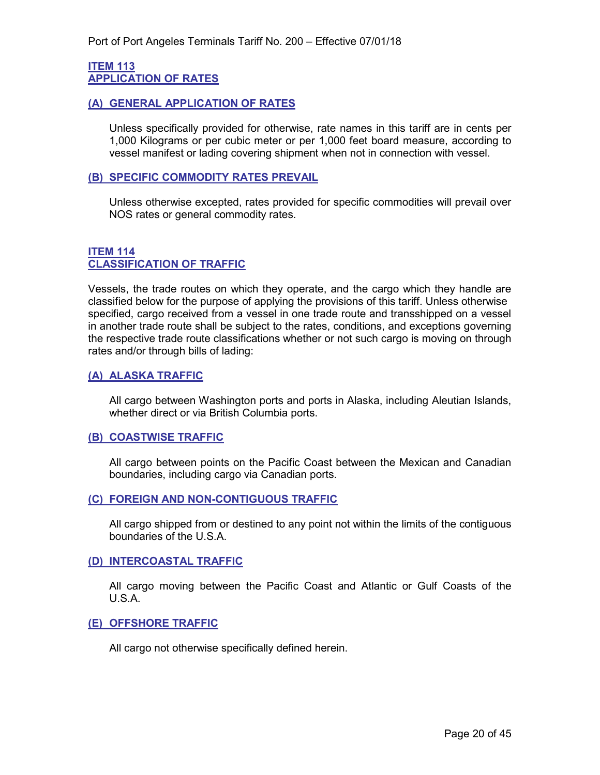#### <span id="page-19-1"></span><span id="page-19-0"></span>**ITEM 113 APPLICATION OF RATES**

#### <span id="page-19-2"></span>**(A) GENERAL APPLICATION OF RATES**

Unless specifically provided for otherwise, rate names in this tariff are in cents per 1,000 Kilograms or per cubic meter or per 1,000 feet board measure, according to vessel manifest or lading covering shipment when not in connection with vessel.

#### <span id="page-19-3"></span>**(B) SPECIFIC COMMODITY RATES PREVAIL**

Unless otherwise excepted, rates provided for specific commodities will prevail over NOS rates or general commodity rates.

#### <span id="page-19-5"></span><span id="page-19-4"></span>**ITEM 114 CLASSIFICATION OF TRAFFIC**

Vessels, the trade routes on which they operate, and the cargo which they handle are classified below for the purpose of applying the provisions of this tariff. Unless otherwise specified, cargo received from a vessel in one trade route and transshipped on a vessel in another trade route shall be subject to the rates, conditions, and exceptions governing the respective trade route classifications whether or not such cargo is moving on through rates and/or through bills of lading:

#### <span id="page-19-6"></span>**(A) ALASKA TRAFFIC**

All cargo between Washington ports and ports in Alaska, including Aleutian Islands, whether direct or via British Columbia ports.

#### <span id="page-19-7"></span>**(B) COASTWISE TRAFFIC**

All cargo between points on the Pacific Coast between the Mexican and Canadian boundaries, including cargo via Canadian ports.

#### <span id="page-19-8"></span>**(C) FOREIGN AND NON-CONTIGUOUS TRAFFIC**

All cargo shipped from or destined to any point not within the limits of the contiguous boundaries of the U.S.A.

#### <span id="page-19-9"></span>**(D) INTERCOASTAL TRAFFIC**

All cargo moving between the Pacific Coast and Atlantic or Gulf Coasts of the U.S.A.

#### <span id="page-19-10"></span>**(E) OFFSHORE TRAFFIC**

All cargo not otherwise specifically defined herein.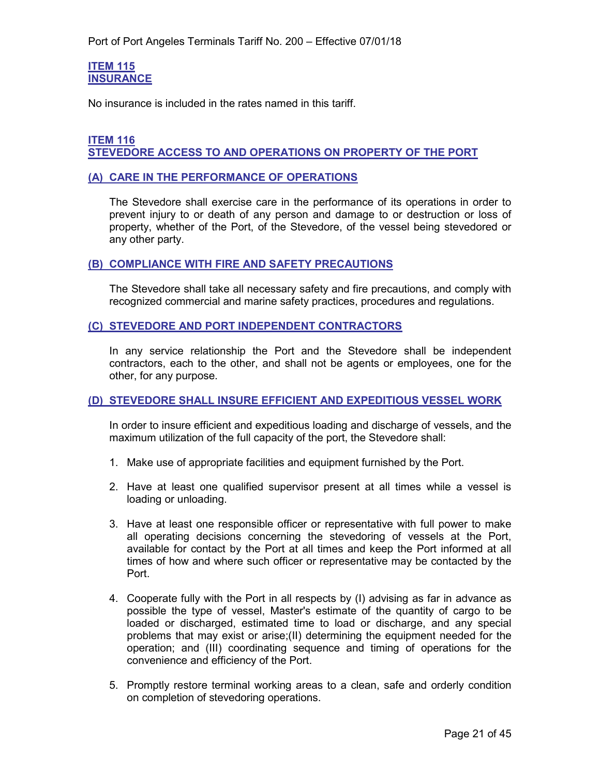#### <span id="page-20-1"></span><span id="page-20-0"></span>**ITEM 115 INSURANCE**

No insurance is included in the rates named in this tariff.

#### <span id="page-20-3"></span><span id="page-20-2"></span>**ITEM 116 STEVEDORE ACCESS TO AND OPERATIONS ON PROPERTY OF THE PORT**

#### <span id="page-20-4"></span>**(A) CARE IN THE PERFORMANCE OF OPERATIONS**

The Stevedore shall exercise care in the performance of its operations in order to prevent injury to or death of any person and damage to or destruction or loss of property, whether of the Port, of the Stevedore, of the vessel being stevedored or any other party.

#### <span id="page-20-5"></span>**(B) COMPLIANCE WITH FIRE AND SAFETY PRECAUTIONS**

The Stevedore shall take all necessary safety and fire precautions, and comply with recognized commercial and marine safety practices, procedures and regulations.

#### <span id="page-20-6"></span>**(C) STEVEDORE AND PORT INDEPENDENT CONTRACTORS**

In any service relationship the Port and the Stevedore shall be independent contractors, each to the other, and shall not be agents or employees, one for the other, for any purpose.

#### <span id="page-20-7"></span>**(D) STEVEDORE SHALL INSURE EFFICIENT AND EXPEDITIOUS VESSEL WORK**

In order to insure efficient and expeditious loading and discharge of vessels, and the maximum utilization of the full capacity of the port, the Stevedore shall:

- 1. Make use of appropriate facilities and equipment furnished by the Port.
- 2. Have at least one qualified supervisor present at all times while a vessel is loading or unloading.
- 3. Have at least one responsible officer or representative with full power to make all operating decisions concerning the stevedoring of vessels at the Port, available for contact by the Port at all times and keep the Port informed at all times of how and where such officer or representative may be contacted by the Port.
- 4. Cooperate fully with the Port in all respects by (I) advising as far in advance as possible the type of vessel, Master's estimate of the quantity of cargo to be loaded or discharged, estimated time to load or discharge, and any special problems that may exist or arise;(II) determining the equipment needed for the operation; and (III) coordinating sequence and timing of operations for the convenience and efficiency of the Port.
- 5. Promptly restore terminal working areas to a clean, safe and orderly condition on completion of stevedoring operations.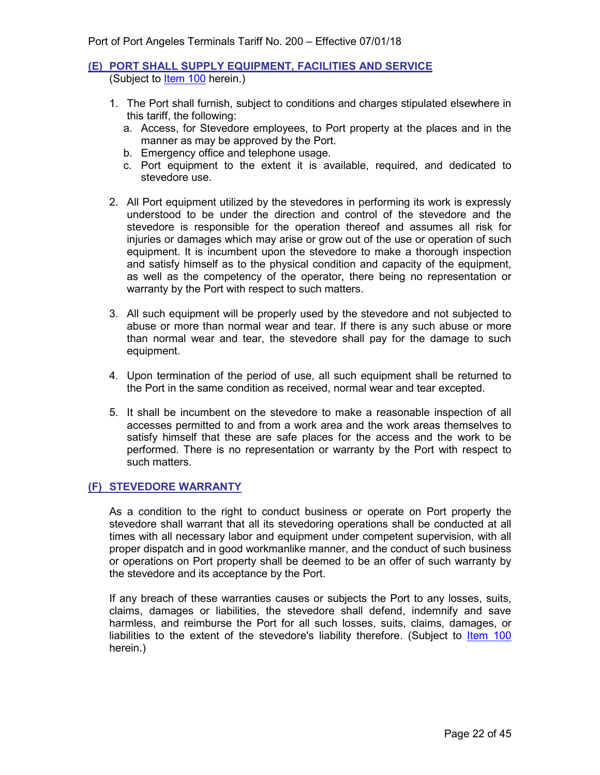#### <span id="page-21-0"></span>**(E) PORT SHALL SUPPLY EQUIPMENT, FACILITIES AND SERVICE** (Subject to [Item 100](#page-8-2) herein.)

- 1. The Port shall furnish, subject to conditions and charges stipulated elsewhere in this tariff, the following:
	- a. Access, for Stevedore employees, to Port property at the places and in the manner as may be approved by the Port.
	- b. Emergency office and telephone usage.
	- c. Port equipment to the extent it is available, required, and dedicated to stevedore use.
- 2. All Port equipment utilized by the stevedores in performing its work is expressly understood to be under the direction and control of the stevedore and the stevedore is responsible for the operation thereof and assumes all risk for injuries or damages which may arise or grow out of the use or operation of such equipment. It is incumbent upon the stevedore to make a thorough inspection and satisfy himself as to the physical condition and capacity of the equipment, as well as the competency of the operator, there being no representation or warranty by the Port with respect to such matters.
- 3. All such equipment will be properly used by the stevedore and not subjected to abuse or more than normal wear and tear. If there is any such abuse or more than normal wear and tear, the stevedore shall pay for the damage to such equipment.
- 4. Upon termination of the period of use, all such equipment shall be returned to the Port in the same condition as received, normal wear and tear excepted.
- 5. It shall be incumbent on the stevedore to make a reasonable inspection of all accesses permitted to and from a work area and the work areas themselves to satisfy himself that these are safe places for the access and the work to be performed. There is no representation or warranty by the Port with respect to such matters.

#### <span id="page-21-1"></span>**(F) STEVEDORE WARRANTY**

As a condition to the right to conduct business or operate on Port property the stevedore shall warrant that all its stevedoring operations shall be conducted at all times with all necessary labor and equipment under competent supervision, with all proper dispatch and in good workmanlike manner, and the conduct of such business or operations on Port property shall be deemed to be an offer of such warranty by the stevedore and its acceptance by the Port.

If any breach of these warranties causes or subjects the Port to any losses, suits, claims, damages or liabilities, the stevedore shall defend, indemnify and save harmless, and reimburse the Port for all such losses, suits, claims, damages, or liabilities to the extent of the stevedore's liability therefore. (Subject to [Item 100](#page-8-2) herein.)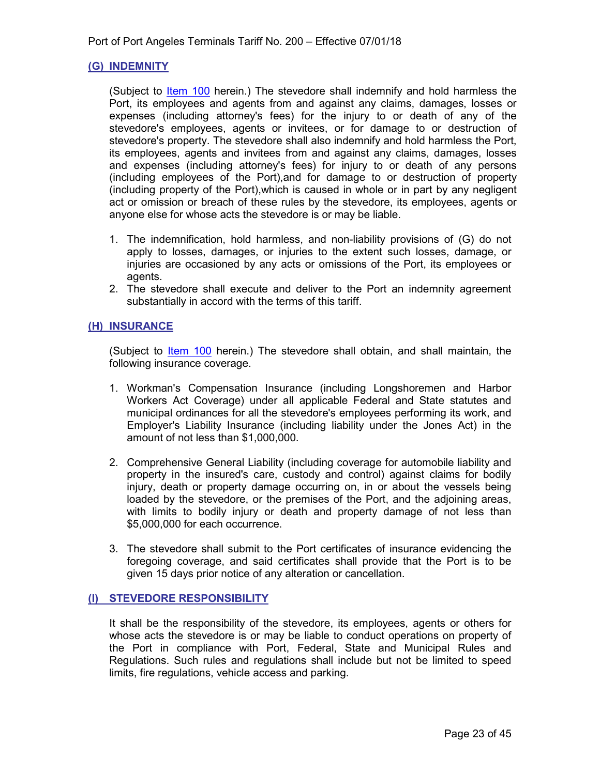#### <span id="page-22-0"></span>**(G) INDEMNITY**

(Subject to *Item 100* herein.) The stevedore shall indemnify and hold harmless the Port, its employees and agents from and against any claims, damages, losses or expenses (including attorney's fees) for the injury to or death of any of the stevedore's employees, agents or invitees, or for damage to or destruction of stevedore's property. The stevedore shall also indemnify and hold harmless the Port, its employees, agents and invitees from and against any claims, damages, losses and expenses (including attorney's fees) for injury to or death of any persons (including employees of the Port),and for damage to or destruction of property (including property of the Port),which is caused in whole or in part by any negligent act or omission or breach of these rules by the stevedore, its employees, agents or anyone else for whose acts the stevedore is or may be liable.

- 1. The indemnification, hold harmless, and non-liability provisions of (G) do not apply to losses, damages, or injuries to the extent such losses, damage, or injuries are occasioned by any acts or omissions of the Port, its employees or agents.
- 2. The stevedore shall execute and deliver to the Port an indemnity agreement substantially in accord with the terms of this tariff.

#### <span id="page-22-1"></span>**(H) INSURANCE**

(Subject to [Item 100](#page-8-2) herein.) The stevedore shall obtain, and shall maintain, the following insurance coverage.

- 1. Workman's Compensation Insurance (including Longshoremen and Harbor Workers Act Coverage) under all applicable Federal and State statutes and municipal ordinances for all the stevedore's employees performing its work, and Employer's Liability Insurance (including liability under the Jones Act) in the amount of not less than \$1,000,000.
- 2. Comprehensive General Liability (including coverage for automobile liability and property in the insured's care, custody and control) against claims for bodily injury, death or property damage occurring on, in or about the vessels being loaded by the stevedore, or the premises of the Port, and the adjoining areas, with limits to bodily injury or death and property damage of not less than \$5,000,000 for each occurrence.
- 3. The stevedore shall submit to the Port certificates of insurance evidencing the foregoing coverage, and said certificates shall provide that the Port is to be given 15 days prior notice of any alteration or cancellation.

#### <span id="page-22-2"></span>**(I) STEVEDORE RESPONSIBILITY**

It shall be the responsibility of the stevedore, its employees, agents or others for whose acts the stevedore is or may be liable to conduct operations on property of the Port in compliance with Port, Federal, State and Municipal Rules and Regulations. Such rules and regulations shall include but not be limited to speed limits, fire regulations, vehicle access and parking.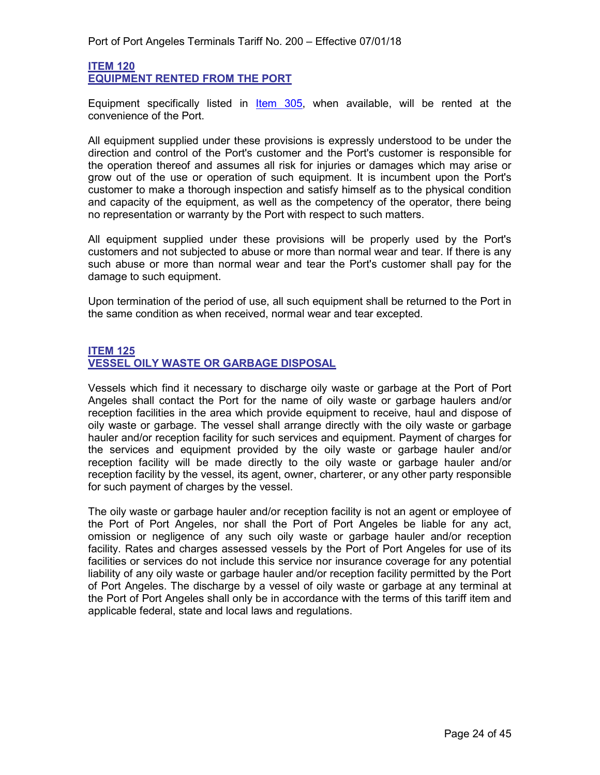#### <span id="page-23-1"></span><span id="page-23-0"></span>**ITEM 120 EQUIPMENT RENTED FROM THE PORT**

Equipment specifically listed in [Item 305,](#page-38-1) when available, will be rented at the convenience of the Port.

All equipment supplied under these provisions is expressly understood to be under the direction and control of the Port's customer and the Port's customer is responsible for the operation thereof and assumes all risk for injuries or damages which may arise or grow out of the use or operation of such equipment. It is incumbent upon the Port's customer to make a thorough inspection and satisfy himself as to the physical condition and capacity of the equipment, as well as the competency of the operator, there being no representation or warranty by the Port with respect to such matters.

All equipment supplied under these provisions will be properly used by the Port's customers and not subjected to abuse or more than normal wear and tear. If there is any such abuse or more than normal wear and tear the Port's customer shall pay for the damage to such equipment.

Upon termination of the period of use, all such equipment shall be returned to the Port in the same condition as when received, normal wear and tear excepted.

#### <span id="page-23-3"></span><span id="page-23-2"></span>**ITEM 125 VESSEL OILY WASTE OR GARBAGE DISPOSAL**

Vessels which find it necessary to discharge oily waste or garbage at the Port of Port Angeles shall contact the Port for the name of oily waste or garbage haulers and/or reception facilities in the area which provide equipment to receive, haul and dispose of oily waste or garbage. The vessel shall arrange directly with the oily waste or garbage hauler and/or reception facility for such services and equipment. Payment of charges for the services and equipment provided by the oily waste or garbage hauler and/or reception facility will be made directly to the oily waste or garbage hauler and/or reception facility by the vessel, its agent, owner, charterer, or any other party responsible for such payment of charges by the vessel.

The oily waste or garbage hauler and/or reception facility is not an agent or employee of the Port of Port Angeles, nor shall the Port of Port Angeles be liable for any act, omission or negligence of any such oily waste or garbage hauler and/or reception facility. Rates and charges assessed vessels by the Port of Port Angeles for use of its facilities or services do not include this service nor insurance coverage for any potential liability of any oily waste or garbage hauler and/or reception facility permitted by the Port of Port Angeles. The discharge by a vessel of oily waste or garbage at any terminal at the Port of Port Angeles shall only be in accordance with the terms of this tariff item and applicable federal, state and local laws and regulations.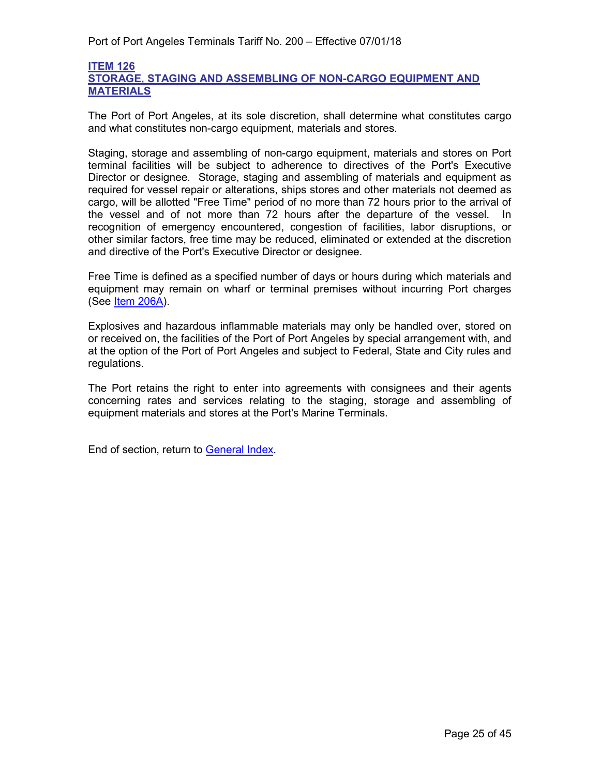#### <span id="page-24-1"></span><span id="page-24-0"></span>**ITEM 126 STORAGE, STAGING AND ASSEMBLING OF NON-CARGO EQUIPMENT AND MATERIALS**

The Port of Port Angeles, at its sole discretion, shall determine what constitutes cargo and what constitutes non-cargo equipment, materials and stores.

Staging, storage and assembling of non-cargo equipment, materials and stores on Port terminal facilities will be subject to adherence to directives of the Port's Executive Director or designee. Storage, staging and assembling of materials and equipment as required for vessel repair or alterations, ships stores and other materials not deemed as cargo, will be allotted "Free Time" period of no more than 72 hours prior to the arrival of the vessel and of not more than 72 hours after the departure of the vessel. In recognition of emergency encountered, congestion of facilities, labor disruptions, or other similar factors, free time may be reduced, eliminated or extended at the discretion and directive of the Port's Executive Director or designee.

Free Time is defined as a specified number of days or hours during which materials and equipment may remain on wharf or terminal premises without incurring Port charges (See [Item 206A\)](#page-29-3).

Explosives and hazardous inflammable materials may only be handled over, stored on or received on, the facilities of the Port of Port Angeles by special arrangement with, and at the option of the Port of Port Angeles and subject to Federal, State and City rules and regulations.

The Port retains the right to enter into agreements with consignees and their agents concerning rates and services relating to the staging, storage and assembling of equipment materials and stores at the Port's Marine Terminals.

End of section, return to [General Index.](#page-3-0)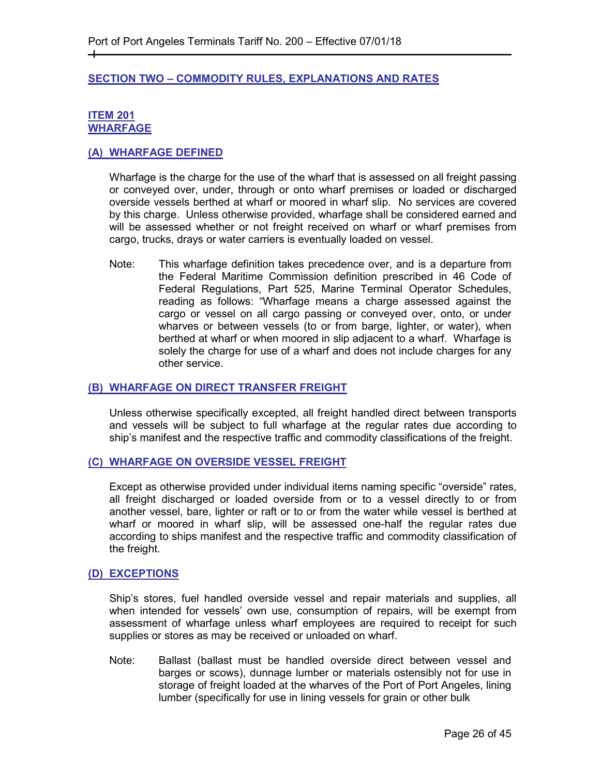#### <span id="page-25-0"></span>**SECTION TWO – COMMODITY RULES, EXPLANATIONS AND RATES**

#### <span id="page-25-2"></span><span id="page-25-1"></span>**ITEM 201 WHARFAGE**

┿

#### <span id="page-25-3"></span>**(A) WHARFAGE DEFINED**

Wharfage is the charge for the use of the wharf that is assessed on all freight passing or conveyed over, under, through or onto wharf premises or loaded or discharged overside vessels berthed at wharf or moored in wharf slip. No services are covered by this charge. Unless otherwise provided, wharfage shall be considered earned and will be assessed whether or not freight received on wharf or wharf premises from cargo, trucks, drays or water carriers is eventually loaded on vessel.

Note: This wharfage definition takes precedence over, and is a departure from the Federal Maritime Commission definition prescribed in 46 Code of Federal Regulations, Part 525, Marine Terminal Operator Schedules, reading as follows: "Wharfage means a charge assessed against the cargo or vessel on all cargo passing or conveyed over, onto, or under wharves or between vessels (to or from barge, lighter, or water), when berthed at wharf or when moored in slip adjacent to a wharf. Wharfage is solely the charge for use of a wharf and does not include charges for any other service.

#### <span id="page-25-4"></span>**(B) WHARFAGE ON DIRECT TRANSFER FREIGHT**

Unless otherwise specifically excepted, all freight handled direct between transports and vessels will be subject to full wharfage at the regular rates due according to ship's manifest and the respective traffic and commodity classifications of the freight.

#### <span id="page-25-5"></span>**(C) WHARFAGE ON OVERSIDE VESSEL FREIGHT**

Except as otherwise provided under individual items naming specific "overside" rates, all freight discharged or loaded overside from or to a vessel directly to or from another vessel, bare, lighter or raft or to or from the water while vessel is berthed at wharf or moored in wharf slip, will be assessed one-half the regular rates due according to ships manifest and the respective traffic and commodity classification of the freight.

#### <span id="page-25-6"></span>**(D) EXCEPTIONS**

Ship's stores, fuel handled overside vessel and repair materials and supplies, all when intended for vessels' own use, consumption of repairs, will be exempt from assessment of wharfage unless wharf employees are required to receipt for such supplies or stores as may be received or unloaded on wharf.

Note: Ballast (ballast must be handled overside direct between vessel and barges or scows), dunnage lumber or materials ostensibly not for use in storage of freight loaded at the wharves of the Port of Port Angeles, lining lumber (specifically for use in lining vessels for grain or other bulk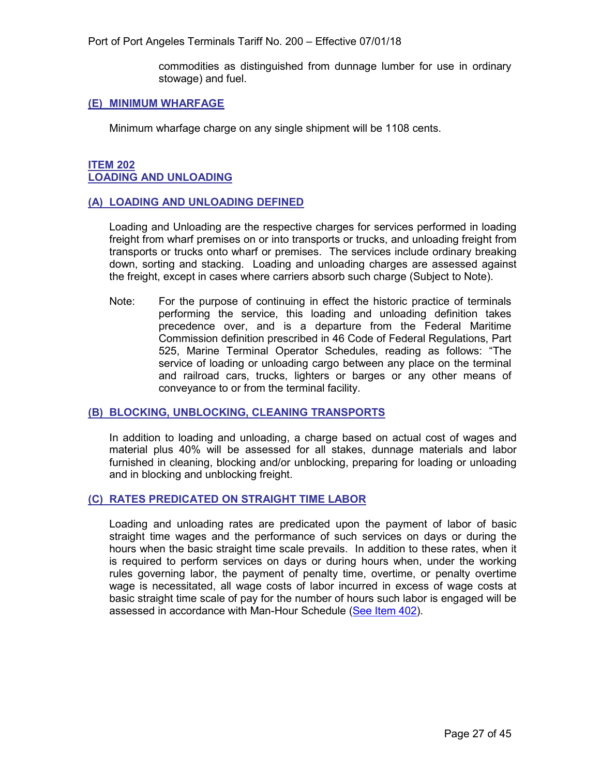Port of Port Angeles Terminals Tariff No. 200 – Effective 07/01/18

commodities as distinguished from dunnage lumber for use in ordinary stowage) and fuel.

#### <span id="page-26-0"></span>**(E) MINIMUM WHARFAGE**

Minimum wharfage charge on any single shipment will be 1108 cents.

#### <span id="page-26-2"></span><span id="page-26-1"></span>**ITEM 202 LOADING AND UNLOADING**

#### <span id="page-26-3"></span>**(A) LOADING AND UNLOADING DEFINED**

Loading and Unloading are the respective charges for services performed in loading freight from wharf premises on or into transports or trucks, and unloading freight from transports or trucks onto wharf or premises. The services include ordinary breaking down, sorting and stacking. Loading and unloading charges are assessed against the freight, except in cases where carriers absorb such charge (Subject to Note).

Note: For the purpose of continuing in effect the historic practice of terminals performing the service, this loading and unloading definition takes precedence over, and is a departure from the Federal Maritime Commission definition prescribed in 46 Code of Federal Regulations, Part 525, Marine Terminal Operator Schedules, reading as follows: "The service of loading or unloading cargo between any place on the terminal and railroad cars, trucks, lighters or barges or any other means of conveyance to or from the terminal facility.

#### <span id="page-26-4"></span>**(B) BLOCKING, UNBLOCKING, CLEANING TRANSPORTS**

In addition to loading and unloading, a charge based on actual cost of wages and material plus 40% will be assessed for all stakes, dunnage materials and labor furnished in cleaning, blocking and/or unblocking, preparing for loading or unloading and in blocking and unblocking freight.

#### <span id="page-26-5"></span>**(C) RATES PREDICATED ON STRAIGHT TIME LABOR**

Loading and unloading rates are predicated upon the payment of labor of basic straight time wages and the performance of such services on days or during the hours when the basic straight time scale prevails. In addition to these rates, when it is required to perform services on days or during hours when, under the working rules governing labor, the payment of penalty time, overtime, or penalty overtime wage is necessitated, all wage costs of labor incurred in excess of wage costs at basic straight time scale of pay for the number of hours such labor is engaged will be assessed in accordance with Man-Hour Schedule [\(See Item 402\)](#page-43-2).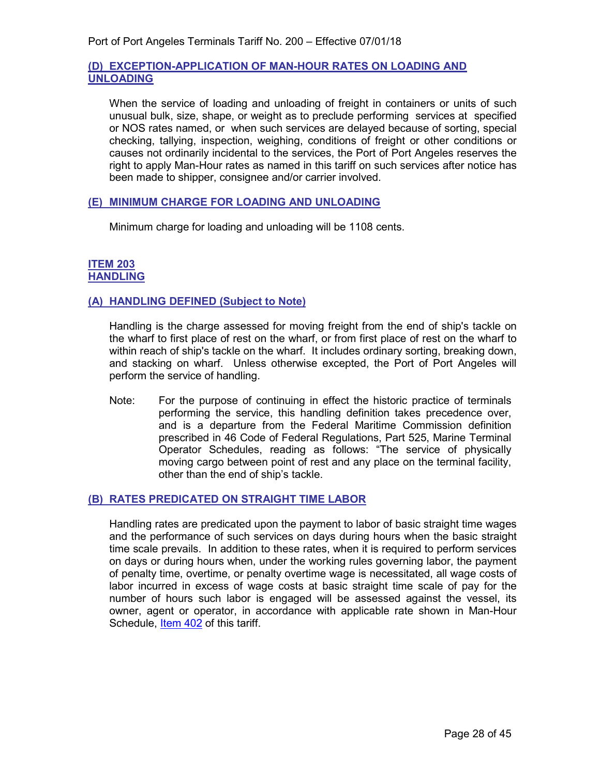#### <span id="page-27-0"></span>**(D) EXCEPTION-APPLICATION OF MAN-HOUR RATES ON LOADING AND UNLOADING**

When the service of loading and unloading of freight in containers or units of such unusual bulk, size, shape, or weight as to preclude performing services at specified or NOS rates named, or when such services are delayed because of sorting, special checking, tallying, inspection, weighing, conditions of freight or other conditions or causes not ordinarily incidental to the services, the Port of Port Angeles reserves the right to apply Man-Hour rates as named in this tariff on such services after notice has been made to shipper, consignee and/or carrier involved.

#### <span id="page-27-1"></span>**(E) MINIMUM CHARGE FOR LOADING AND UNLOADING**

Minimum charge for loading and unloading will be 1108 cents.

#### <span id="page-27-3"></span><span id="page-27-2"></span>**ITEM 203 HANDLING**

#### <span id="page-27-4"></span>**(A) HANDLING DEFINED (Subject to Note)**

Handling is the charge assessed for moving freight from the end of ship's tackle on the wharf to first place of rest on the wharf, or from first place of rest on the wharf to within reach of ship's tackle on the wharf. It includes ordinary sorting, breaking down, and stacking on wharf. Unless otherwise excepted, the Port of Port Angeles will perform the service of handling.

Note: For the purpose of continuing in effect the historic practice of terminals performing the service, this handling definition takes precedence over, and is a departure from the Federal Maritime Commission definition prescribed in 46 Code of Federal Regulations, Part 525, Marine Terminal Operator Schedules, reading as follows: "The service of physically moving cargo between point of rest and any place on the terminal facility, other than the end of ship's tackle.

#### <span id="page-27-5"></span>**(B) RATES PREDICATED ON STRAIGHT TIME LABOR**

Handling rates are predicated upon the payment to labor of basic straight time wages and the performance of such services on days during hours when the basic straight time scale prevails. In addition to these rates, when it is required to perform services on days or during hours when, under the working rules governing labor, the payment of penalty time, overtime, or penalty overtime wage is necessitated, all wage costs of labor incurred in excess of wage costs at basic straight time scale of pay for the number of hours such labor is engaged will be assessed against the vessel, its owner, agent or operator, in accordance with applicable rate shown in Man-Hour Schedule, [Item 402](#page-43-2) of this tariff.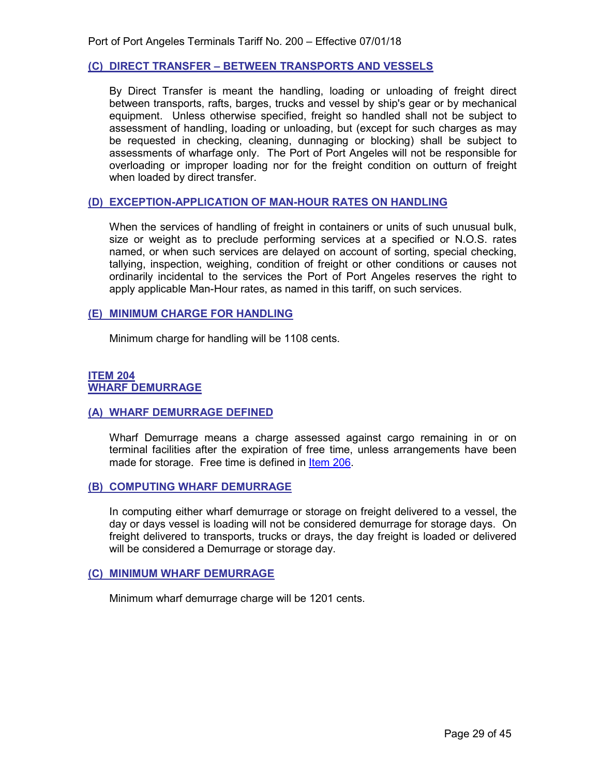#### <span id="page-28-0"></span>**(C) DIRECT TRANSFER – BETWEEN TRANSPORTS AND VESSELS**

By Direct Transfer is meant the handling, loading or unloading of freight direct between transports, rafts, barges, trucks and vessel by ship's gear or by mechanical equipment. Unless otherwise specified, freight so handled shall not be subject to assessment of handling, loading or unloading, but (except for such charges as may be requested in checking, cleaning, dunnaging or blocking) shall be subject to assessments of wharfage only. The Port of Port Angeles will not be responsible for overloading or improper loading nor for the freight condition on outturn of freight when loaded by direct transfer.

#### <span id="page-28-1"></span>**(D) EXCEPTION-APPLICATION OF MAN-HOUR RATES ON HANDLING**

When the services of handling of freight in containers or units of such unusual bulk, size or weight as to preclude performing services at a specified or N.O.S. rates named, or when such services are delayed on account of sorting, special checking, tallying, inspection, weighing, condition of freight or other conditions or causes not ordinarily incidental to the services the Port of Port Angeles reserves the right to apply applicable Man-Hour rates, as named in this tariff, on such services.

#### <span id="page-28-2"></span>**(E) MINIMUM CHARGE FOR HANDLING**

Minimum charge for handling will be 1108 cents.

#### <span id="page-28-4"></span><span id="page-28-3"></span>**ITEM 204 WHARF DEMURRAGE**

#### <span id="page-28-5"></span>**(A) WHARF DEMURRAGE DEFINED**

Wharf Demurrage means a charge assessed against cargo remaining in or on terminal facilities after the expiration of free time, unless arrangements have been made for storage. Free time is defined in [Item 206.](#page-29-2)

#### <span id="page-28-6"></span>**(B) COMPUTING WHARF DEMURRAGE**

In computing either wharf demurrage or storage on freight delivered to a vessel, the day or days vessel is loading will not be considered demurrage for storage days. On freight delivered to transports, trucks or drays, the day freight is loaded or delivered will be considered a Demurrage or storage day.

#### <span id="page-28-7"></span>**(C) MINIMUM WHARF DEMURRAGE**

<span id="page-28-8"></span>Minimum wharf demurrage charge will be 1201 cents.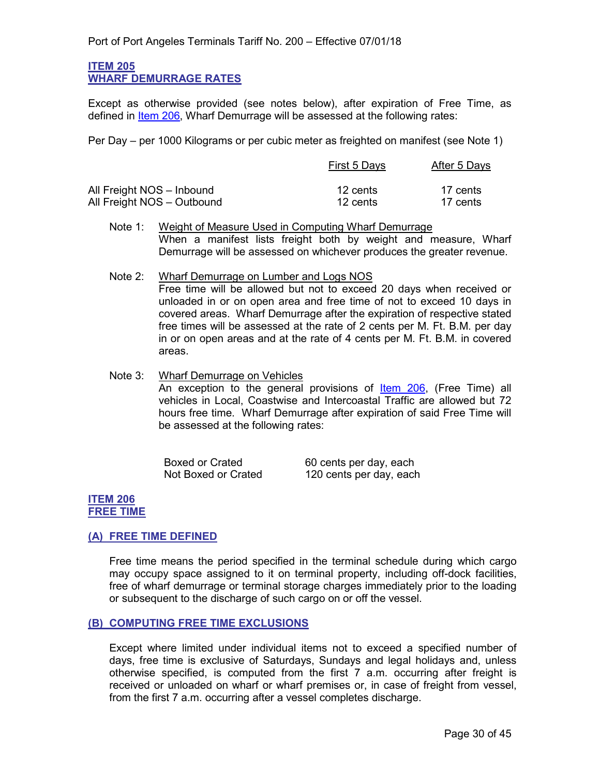#### <span id="page-29-0"></span>**ITEM 205 WHARF DEMURRAGE RATES**

Except as otherwise provided (see notes below), after expiration of Free Time, as defined in [Item 206,](#page-29-2) Wharf Demurrage will be assessed at the following rates:

Per Day – per 1000 Kilograms or per cubic meter as freighted on manifest (see Note 1)

|                            | First 5 Days | After 5 Days |  |
|----------------------------|--------------|--------------|--|
| All Freight NOS - Inbound  | 12 cents     | 17 cents     |  |
| All Freight NOS - Outbound | 12 cents     | 17 cents     |  |

- Note 1: Weight of Measure Used in Computing Wharf Demurrage When a manifest lists freight both by weight and measure, Wharf Demurrage will be assessed on whichever produces the greater revenue.
- Note 2: Wharf Demurrage on Lumber and Logs NOS Free time will be allowed but not to exceed 20 days when received or unloaded in or on open area and free time of not to exceed 10 days in covered areas. Wharf Demurrage after the expiration of respective stated free times will be assessed at the rate of 2 cents per M. Ft. B.M. per day in or on open areas and at the rate of 4 cents per M. Ft. B.M. in covered areas.

Note 3: Wharf Demurrage on Vehicles An exception to the general provisions of **Item 206**, (Free Time) all vehicles in Local, Coastwise and Intercoastal Traffic are allowed but 72 hours free time. Wharf Demurrage after expiration of said Free Time will be assessed at the following rates:

| <b>Boxed or Crated</b> | 60 cents per day, each  |
|------------------------|-------------------------|
| Not Boxed or Crated    | 120 cents per day, each |

#### <span id="page-29-2"></span><span id="page-29-1"></span>**ITEM 206 FREE TIME**

#### <span id="page-29-3"></span>**(A) FREE TIME DEFINED**

Free time means the period specified in the terminal schedule during which cargo may occupy space assigned to it on terminal property, including off-dock facilities, free of wharf demurrage or terminal storage charges immediately prior to the loading or subsequent to the discharge of such cargo on or off the vessel.

#### <span id="page-29-4"></span>**(B) COMPUTING FREE TIME EXCLUSIONS**

Except where limited under individual items not to exceed a specified number of days, free time is exclusive of Saturdays, Sundays and legal holidays and, unless otherwise specified, is computed from the first 7 a.m. occurring after freight is received or unloaded on wharf or wharf premises or, in case of freight from vessel, from the first 7 a.m. occurring after a vessel completes discharge.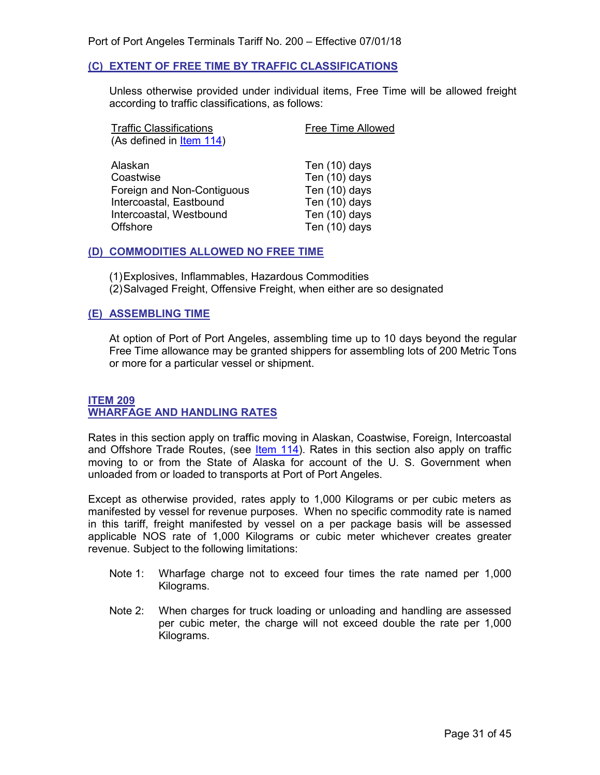#### <span id="page-30-0"></span>**(C) EXTENT OF FREE TIME BY TRAFFIC CLASSIFICATIONS**

Unless otherwise provided under individual items, Free Time will be allowed freight according to traffic classifications, as follows:

| <b>Traffic Classifications</b>                                                                           | <b>Free Time Allowed</b>                                                          |
|----------------------------------------------------------------------------------------------------------|-----------------------------------------------------------------------------------|
| (As defined in Item 114)                                                                                 |                                                                                   |
| Alaskan<br>Coastwise<br>Foreign and Non-Contiguous<br>Intercoastal, Eastbound<br>Intercoastal, Westbound | Ten (10) days<br>Ten (10) days<br>Ten (10) days<br>Ten (10) days<br>Ten (10) days |
| Offshore                                                                                                 | Ten (10) days                                                                     |

#### <span id="page-30-1"></span>**(D) COMMODITIES ALLOWED NO FREE TIME**

(1)Explosives, Inflammables, Hazardous Commodities (2)Salvaged Freight, Offensive Freight, when either are so designated

#### <span id="page-30-2"></span>**(E) ASSEMBLING TIME**

At option of Port of Port Angeles, assembling time up to 10 days beyond the regular Free Time allowance may be granted shippers for assembling lots of 200 Metric Tons or more for a particular vessel or shipment.

#### <span id="page-30-4"></span><span id="page-30-3"></span>**ITEM 209 WHARFAGE AND HANDLING RATES**

Rates in this section apply on traffic moving in Alaskan, Coastwise, Foreign, Intercoastal and Offshore Trade Routes, (see  $ltem 114$ ). Rates in this section also apply on traffic</u> moving to or from the State of Alaska for account of the U. S. Government when unloaded from or loaded to transports at Port of Port Angeles.

Except as otherwise provided, rates apply to 1,000 Kilograms or per cubic meters as manifested by vessel for revenue purposes. When no specific commodity rate is named in this tariff, freight manifested by vessel on a per package basis will be assessed applicable NOS rate of 1,000 Kilograms or cubic meter whichever creates greater revenue. Subject to the following limitations:

- Note 1: Wharfage charge not to exceed four times the rate named per 1,000 Kilograms.
- Note 2: When charges for truck loading or unloading and handling are assessed per cubic meter, the charge will not exceed double the rate per 1,000 Kilograms.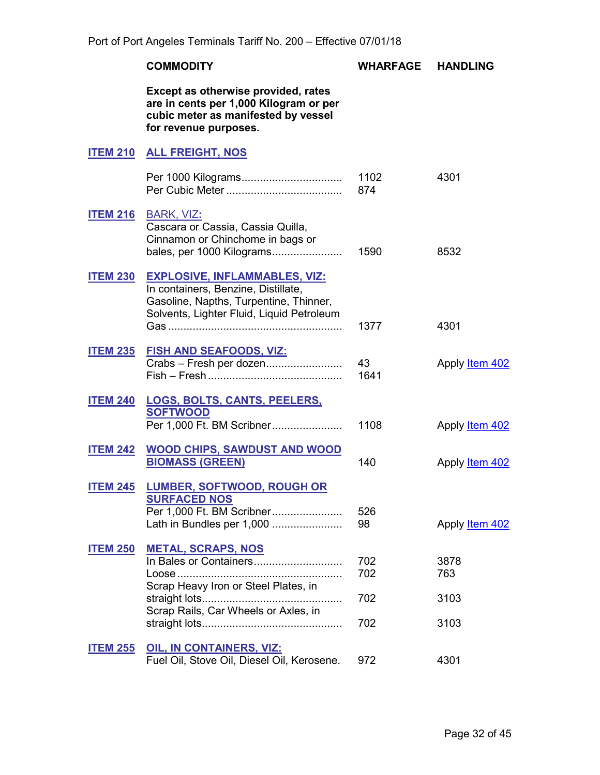<span id="page-31-14"></span><span id="page-31-13"></span><span id="page-31-12"></span><span id="page-31-11"></span><span id="page-31-10"></span><span id="page-31-9"></span><span id="page-31-8"></span><span id="page-31-7"></span><span id="page-31-6"></span><span id="page-31-5"></span><span id="page-31-4"></span><span id="page-31-3"></span><span id="page-31-2"></span><span id="page-31-1"></span><span id="page-31-0"></span>

|                 | <b>COMMODITY</b>                                                                                                                                                   | WHARFAGE                 | <b>HANDLING</b>             |
|-----------------|--------------------------------------------------------------------------------------------------------------------------------------------------------------------|--------------------------|-----------------------------|
|                 | Except as otherwise provided, rates<br>are in cents per 1,000 Kilogram or per<br>cubic meter as manifested by vessel<br>for revenue purposes.                      |                          |                             |
| <b>ITEM 210</b> | <b>ALL FREIGHT, NOS</b>                                                                                                                                            |                          |                             |
|                 |                                                                                                                                                                    | 1102<br>874              | 4301                        |
|                 | <b>ITEM 216 BARK, VIZ:</b><br>Cascara or Cassia, Cassia Quilla,<br>Cinnamon or Chinchome in bags or<br>bales, per 1000 Kilograms                                   | 1590                     | 8532                        |
| <b>ITEM 230</b> | <b>EXPLOSIVE, INFLAMMABLES, VIZ:</b><br>In containers, Benzine, Distillate,<br>Gasoline, Napths, Turpentine, Thinner,<br>Solvents, Lighter Fluid, Liquid Petroleum | 1377                     | 4301                        |
|                 | <u>ITEM 235 FISH AND SEAFOODS, VIZ:</u><br>Crabs - Fresh per dozen                                                                                                 | 43<br>1641               | Apply <b>Item 402</b>       |
|                 | <b>ITEM 240 LOGS, BOLTS, CANTS, PEELERS,</b><br><b>SOFTWOOD</b><br>Per 1,000 Ft. BM Scribner                                                                       | 1108                     | Apply <b>Item 402</b>       |
| <b>ITEM 242</b> | <b>WOOD CHIPS, SAWDUST AND WOOD</b><br><b>BIOMASS (GREEN)</b>                                                                                                      | 140                      | Apply Item 402              |
| <b>ITEM 245</b> | <b>LUMBER, SOFTWOOD, ROUGH OR</b><br><b>SURFACED NOS</b><br>Per 1,000 Ft. BM Scribner<br>Lath in Bundles per 1,000                                                 | 526<br>98                | Apply Item 402              |
| <b>ITEM 250</b> | <b>METAL, SCRAPS, NOS</b><br>Scrap Heavy Iron or Steel Plates, in<br>Scrap Rails, Car Wheels or Axles, in                                                          | 702<br>702<br>702<br>702 | 3878<br>763<br>3103<br>3103 |
| <b>ITEM 255</b> | <b>OIL, IN CONTAINERS, VIZ:</b><br>Fuel Oil, Stove Oil, Diesel Oil, Kerosene.                                                                                      | 972                      | 4301                        |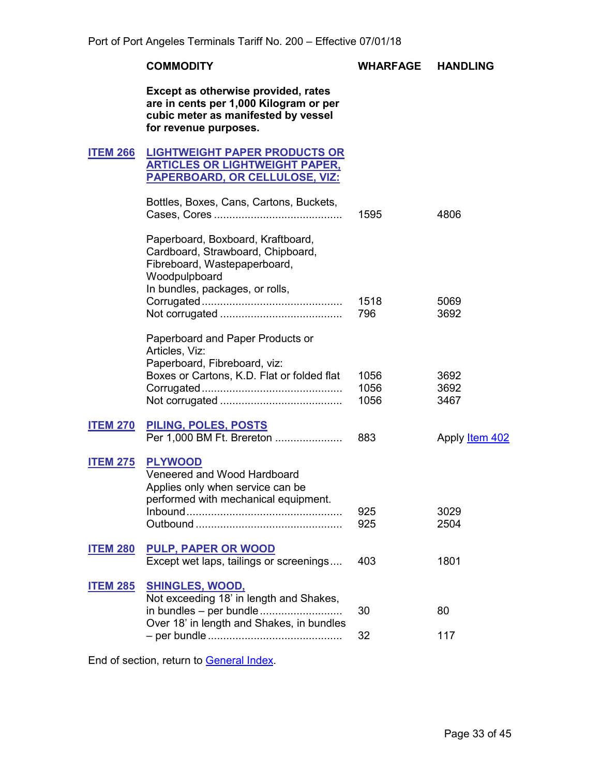#### **COMMODITY WHARFAGE HANDLING**

**Except as otherwise provided, rates are in cents per 1,000 Kilogram or per cubic meter as manifested by vessel for revenue purposes.**

#### <span id="page-32-1"></span><span id="page-32-0"></span>**ITEM 266 LIGHTWEIGHT PAPER PRODUCTS OR ARTICLES OR LIGHTWEIGHT PAPER, PAPERBOARD, OR CELLULOSE, VIZ:**

<span id="page-32-3"></span><span id="page-32-2"></span>

|                 | Bottles, Boxes, Cans, Cartons, Buckets,                                                                                                                    | 1595 | 4806                  |
|-----------------|------------------------------------------------------------------------------------------------------------------------------------------------------------|------|-----------------------|
|                 | Paperboard, Boxboard, Kraftboard,<br>Cardboard, Strawboard, Chipboard,<br>Fibreboard, Wastepaperboard,<br>Woodpulpboard<br>In bundles, packages, or rolls, | 1518 | 5069                  |
|                 |                                                                                                                                                            | 796  | 3692                  |
|                 | Paperboard and Paper Products or<br>Articles, Viz:<br>Paperboard, Fibreboard, viz:                                                                         |      |                       |
|                 | Boxes or Cartons, K.D. Flat or folded flat                                                                                                                 | 1056 | 3692                  |
|                 |                                                                                                                                                            | 1056 | 3692                  |
|                 |                                                                                                                                                            | 1056 | 3467                  |
| <b>ITEM 270</b> | PILING, POLES, POSTS<br>Per 1,000 BM Ft. Brereton                                                                                                          | 883  | Apply <b>Item 402</b> |
| <b>ITEM 275</b> | <b>PLYWOOD</b><br>Veneered and Wood Hardboard<br>Applies only when service can be<br>performed with mechanical equipment.                                  | 925  | 3029                  |
|                 |                                                                                                                                                            | 925  | 2504                  |
| <b>ITEM 280</b> | <b>PULP, PAPER OR WOOD</b>                                                                                                                                 |      |                       |
|                 | Except wet laps, tailings or screenings                                                                                                                    | 403  | 1801                  |
| <b>ITEM 285</b> | <b>SHINGLES, WOOD,</b><br>Not exceeding 18' in length and Shakes,                                                                                          |      |                       |
|                 | in bundles – per bundle<br>Over 18' in length and Shakes, in bundles                                                                                       | 30   | 80                    |
|                 |                                                                                                                                                            | 32   | 117                   |

<span id="page-32-9"></span><span id="page-32-8"></span><span id="page-32-7"></span><span id="page-32-6"></span><span id="page-32-5"></span><span id="page-32-4"></span>End of section, return to [General Index.](#page-3-0)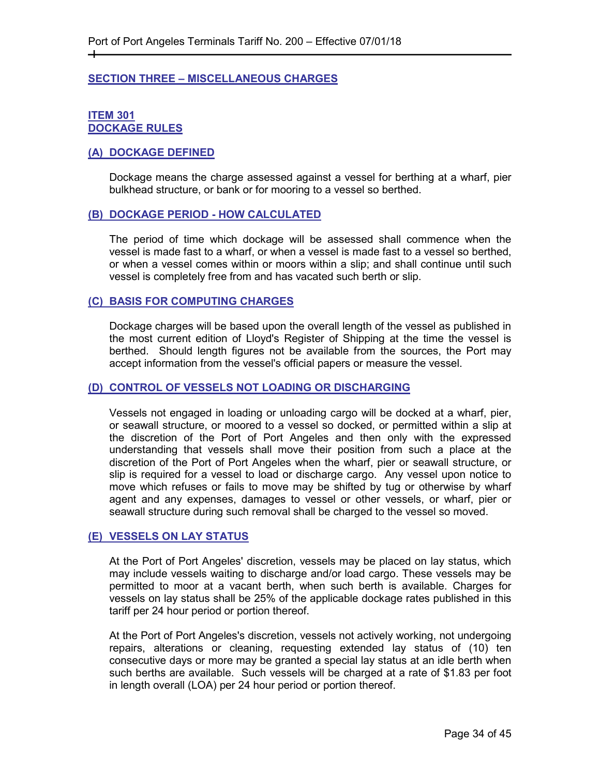#### <span id="page-33-0"></span>**SECTION THREE – MISCELLANEOUS CHARGES**

#### <span id="page-33-2"></span><span id="page-33-1"></span>**ITEM 301 DOCKAGE RULES**

┿

#### <span id="page-33-3"></span>**(A) DOCKAGE DEFINED**

Dockage means the charge assessed against a vessel for berthing at a wharf, pier bulkhead structure, or bank or for mooring to a vessel so berthed.

#### <span id="page-33-4"></span>**(B) DOCKAGE PERIOD - HOW CALCULATED**

The period of time which dockage will be assessed shall commence when the vessel is made fast to a wharf, or when a vessel is made fast to a vessel so berthed, or when a vessel comes within or moors within a slip; and shall continue until such vessel is completely free from and has vacated such berth or slip.

#### <span id="page-33-5"></span>**(C) BASIS FOR COMPUTING CHARGES**

Dockage charges will be based upon the overall length of the vessel as published in the most current edition of Lloyd's Register of Shipping at the time the vessel is berthed. Should length figures not be available from the sources, the Port may accept information from the vessel's official papers or measure the vessel.

#### <span id="page-33-6"></span>**(D) CONTROL OF VESSELS NOT LOADING OR DISCHARGING**

Vessels not engaged in loading or unloading cargo will be docked at a wharf, pier, or seawall structure, or moored to a vessel so docked, or permitted within a slip at the discretion of the Port of Port Angeles and then only with the expressed understanding that vessels shall move their position from such a place at the discretion of the Port of Port Angeles when the wharf, pier or seawall structure, or slip is required for a vessel to load or discharge cargo. Any vessel upon notice to move which refuses or fails to move may be shifted by tug or otherwise by wharf agent and any expenses, damages to vessel or other vessels, or wharf, pier or seawall structure during such removal shall be charged to the vessel so moved.

#### <span id="page-33-7"></span>**(E) VESSELS ON LAY STATUS**

At the Port of Port Angeles' discretion, vessels may be placed on lay status, which may include vessels waiting to discharge and/or load cargo. These vessels may be permitted to moor at a vacant berth, when such berth is available. Charges for vessels on lay status shall be 25% of the applicable dockage rates published in this tariff per 24 hour period or portion thereof.

At the Port of Port Angeles's discretion, vessels not actively working, not undergoing repairs, alterations or cleaning, requesting extended lay status of (10) ten consecutive days or more may be granted a special lay status at an idle berth when such berths are available. Such vessels will be charged at a rate of \$1.83 per foot in length overall (LOA) per 24 hour period or portion thereof.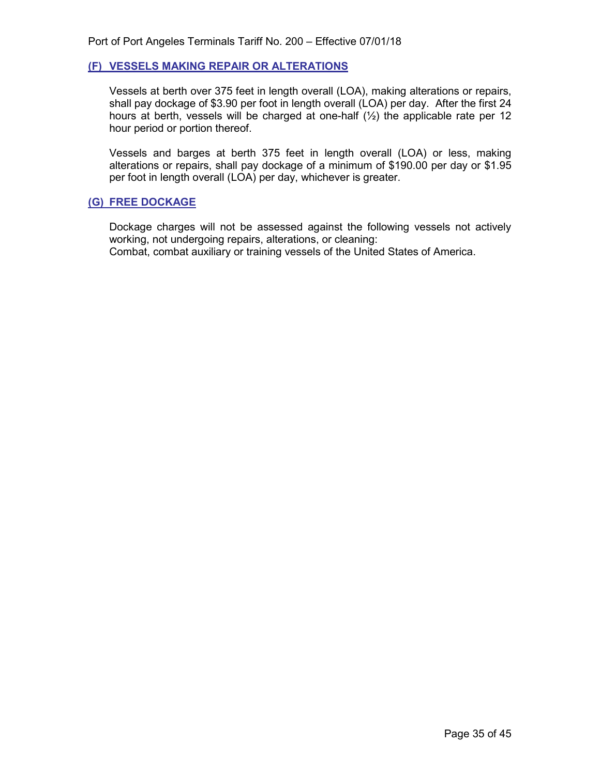#### <span id="page-34-0"></span>**(F) VESSELS MAKING REPAIR OR ALTERATIONS**

Vessels at berth over 375 feet in length overall (LOA), making alterations or repairs, shall pay dockage of \$3.90 per foot in length overall (LOA) per day. After the first 24 hours at berth, vessels will be charged at one-half  $(\frac{1}{2})$  the applicable rate per 12 hour period or portion thereof.

Vessels and barges at berth 375 feet in length overall (LOA) or less, making alterations or repairs, shall pay dockage of a minimum of \$190.00 per day or \$1.95 per foot in length overall (LOA) per day, whichever is greater.

#### <span id="page-34-1"></span>**(G) FREE DOCKAGE**

<span id="page-34-2"></span>Dockage charges will not be assessed against the following vessels not actively working, not undergoing repairs, alterations, or cleaning: Combat, combat auxiliary or training vessels of the United States of America.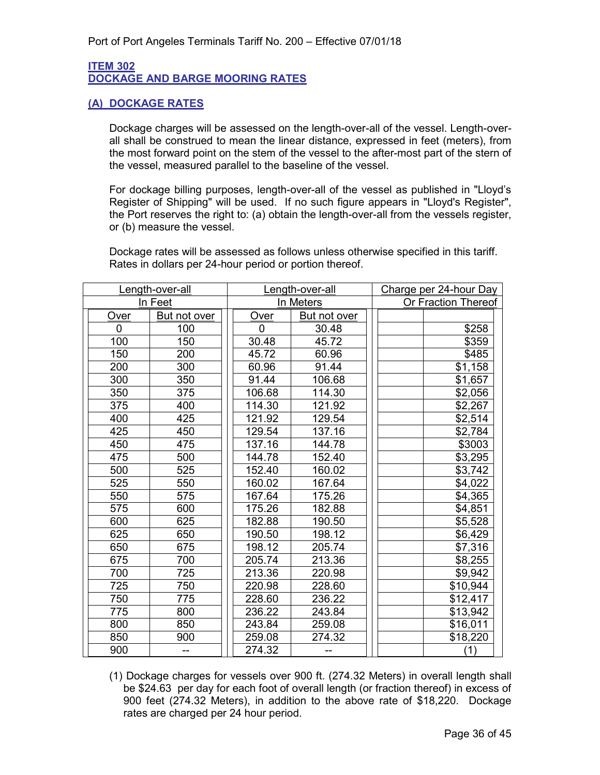#### <span id="page-35-0"></span>**ITEM 302 DOCKAGE AND BARGE MOORING RATES**

#### <span id="page-35-1"></span>**(A) DOCKAGE RATES**

Dockage charges will be assessed on the length-over-all of the vessel. Length-overall shall be construed to mean the linear distance, expressed in feet (meters), from the most forward point on the stem of the vessel to the after-most part of the stern of the vessel, measured parallel to the baseline of the vessel.

For dockage billing purposes, length-over-all of the vessel as published in "Lloyd's Register of Shipping" will be used. If no such figure appears in "Lloyd's Register", the Port reserves the right to: (a) obtain the length-over-all from the vessels register, or (b) measure the vessel.

Dockage rates will be assessed as follows unless otherwise specified in this tariff. Rates in dollars per 24-hour period or portion thereof.

|             | Length-over-all |           | Length-over-all |                     | Charge per 24-hour Day |
|-------------|-----------------|-----------|-----------------|---------------------|------------------------|
|             | In Feet         | In Meters |                 | Or Fraction Thereof |                        |
| Over        | But not over    |           | Over            | But not over        |                        |
| $\mathbf 0$ | 100             |           | $\mathbf{0}$    | 30.48               | \$258                  |
| 100         | 150             |           | 30.48           | 45.72               | \$359                  |
| 150         | 200             |           | 45.72           | 60.96               | \$485                  |
| 200         | 300             |           | 60.96           | 91.44               | \$1,158                |
| 300         | 350             |           | 91.44           | 106.68              | \$1,657                |
| 350         | 375             |           | 106.68          | 114.30              | \$2,056                |
| 375         | 400             |           | 114.30          | 121.92              | \$2,267                |
| 400         | 425             |           | 121.92          | 129.54              | \$2,514                |
| 425         | 450             |           | 129.54          | 137.16              | \$2,784                |
| 450         | 475             |           | 137.16          | 144.78              | \$3003                 |
| 475         | 500             |           | 144.78          | 152.40              | \$3,295                |
| 500         | 525             |           | 152.40          | 160.02              | \$3,742                |
| 525         | 550             |           | 160.02          | 167.64              | \$4,022                |
| 550         | 575             |           | 167.64          | 175.26              | \$4,365                |
| 575         | 600             |           | 175.26          | 182.88              | \$4,851                |
| 600         | 625             |           | 182.88          | 190.50              | \$5,528                |
| 625         | 650             |           | 190.50          | 198.12              | \$6,429                |
| 650         | 675             |           | 198.12          | 205.74              | \$7,316                |
| 675         | 700             |           | 205.74          | 213.36              | \$8,255                |
| 700         | 725             |           | 213.36          | 220.98              | \$9,942                |
| 725         | 750             |           | 220.98          | 228.60              | \$10,944               |
| 750         | 775             |           | 228.60          | 236.22              | \$12,417               |
| 775         | 800             |           | 236.22          | 243.84              | \$13,942               |
| 800         | 850             |           | 243.84          | 259.08              | \$16,011               |
| 850         | 900             |           | 259.08          | 274.32              | \$18,220               |
| 900         | --              |           | 274.32          |                     | (1)                    |

(1) Dockage charges for vessels over 900 ft. (274.32 Meters) in overall length shall be \$24.63 per day for each foot of overall length (or fraction thereof) in excess of 900 feet (274.32 Meters), in addition to the above rate of \$18,220. Dockage rates are charged per 24 hour period.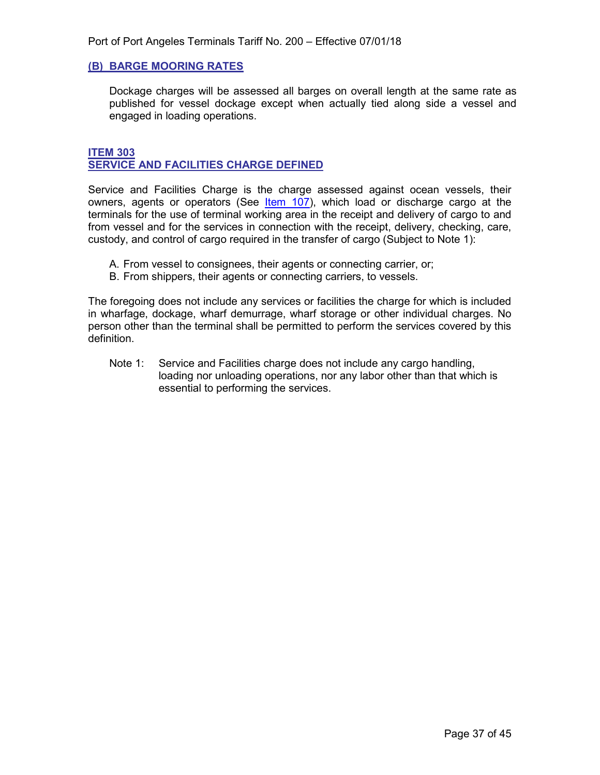#### <span id="page-36-0"></span>**(B) BARGE MOORING RATES**

Dockage charges will be assessed all barges on overall length at the same rate as published for vessel dockage except when actually tied along side a vessel and engaged in loading operations.

#### <span id="page-36-2"></span><span id="page-36-1"></span>**ITEM 303 SERVICE AND FACILITIES CHARGE DEFINED**

Service and Facilities Charge is the charge assessed against ocean vessels, their owners, agents or operators (See *[Item](#page-12-5) 107*), which load or discharge cargo at the terminals for the use of terminal working area in the receipt and delivery of cargo to and from vessel and for the services in connection with the receipt, delivery, checking, care, custody, and control of cargo required in the transfer of cargo (Subject to Note 1):

- A. From vessel to consignees, their agents or connecting carrier, or;
- B. From shippers, their agents or connecting carriers, to vessels.

The foregoing does not include any services or facilities the charge for which is included in wharfage, dockage, wharf demurrage, wharf storage or other individual charges. No person other than the terminal shall be permitted to perform the services covered by this definition.

Note 1: Service and Facilities charge does not include any cargo handling, loading nor unloading operations, nor any labor other than that which is essential to performing the services.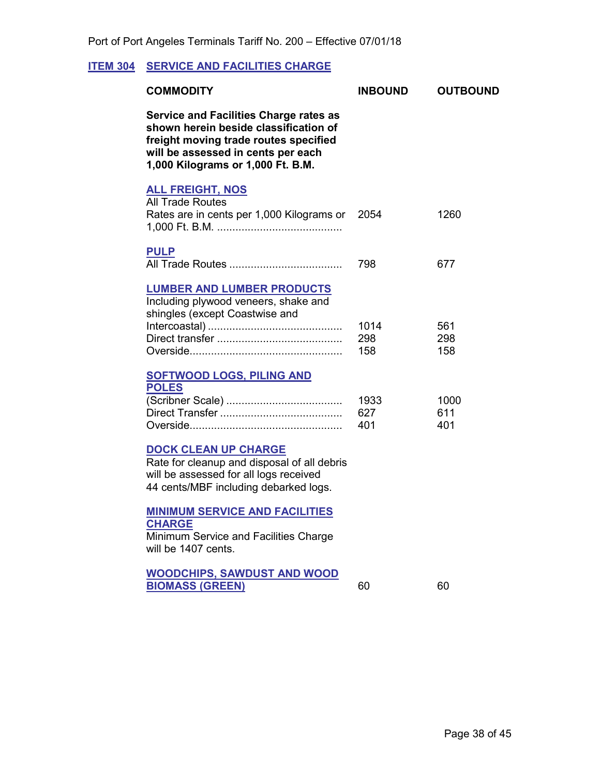#### <span id="page-37-1"></span>**ITEM 304 SERVICE AND FACILITIES CHARGE**

<span id="page-37-5"></span><span id="page-37-4"></span><span id="page-37-3"></span><span id="page-37-2"></span><span id="page-37-0"></span>

| <b>INBOUND</b>     | <b>OUTBOUND</b>    |
|--------------------|--------------------|
|                    |                    |
| 2054               | 1260               |
| 798                | 677                |
| 1014<br>298<br>158 | 561<br>298<br>158  |
| 1933<br>627<br>401 | 1000<br>611<br>401 |
|                    |                    |
|                    |                    |
| 60                 | 60                 |
|                    |                    |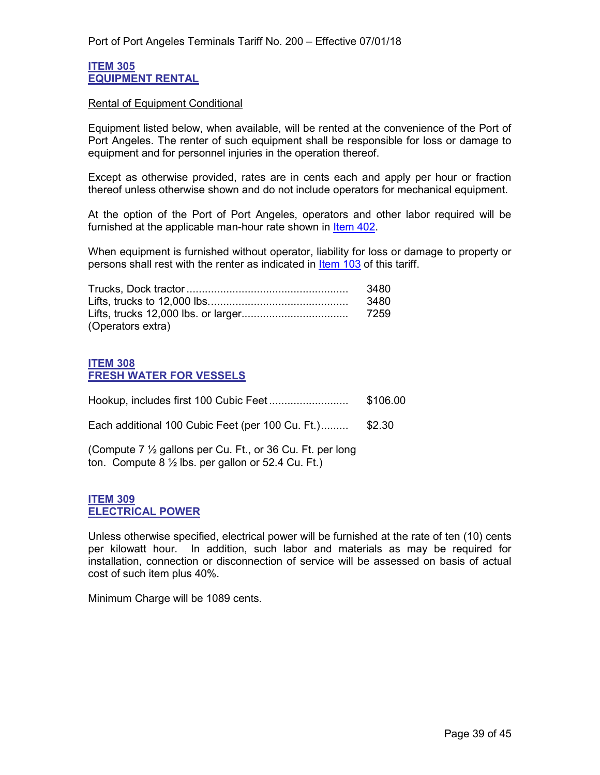#### <span id="page-38-1"></span><span id="page-38-0"></span>**ITEM 305 EQUIPMENT RENTAL**

#### Rental of Equipment Conditional

Equipment listed below, when available, will be rented at the convenience of the Port of Port Angeles. The renter of such equipment shall be responsible for loss or damage to equipment and for personnel injuries in the operation thereof.

Except as otherwise provided, rates are in cents each and apply per hour or fraction thereof unless otherwise shown and do not include operators for mechanical equipment.

At the option of the Port of Port Angeles, operators and other labor required will be furnished at the applicable man-hour rate shown in [Item 402.](#page-43-2)

When equipment is furnished without operator, liability for loss or damage to property or persons shall rest with the renter as indicated in [Item 103](#page-10-1) of this tariff.

|                   | 3480 |
|-------------------|------|
|                   | 3480 |
|                   |      |
| (Operators extra) |      |

#### <span id="page-38-3"></span><span id="page-38-2"></span>**ITEM 308 FRESH WATER FOR VESSELS**

|                                                                                                                            | \$106.00 |
|----------------------------------------------------------------------------------------------------------------------------|----------|
| Each additional 100 Cubic Feet (per 100 Cu. Ft.)                                                                           | \$2.30   |
| (Compute 7 1/2 gallons per Cu. Ft., or 36 Cu. Ft. per long<br>ton. Compute $8\frac{1}{2}$ lbs. per gallon or 52.4 Cu. Ft.) |          |

#### <span id="page-38-5"></span><span id="page-38-4"></span>**ITEM 309 ELECTRICAL POWER**

Unless otherwise specified, electrical power will be furnished at the rate of ten (10) cents per kilowatt hour. In addition, such labor and materials as may be required for installation, connection or disconnection of service will be assessed on basis of actual cost of such item plus 40%.

Minimum Charge will be 1089 cents.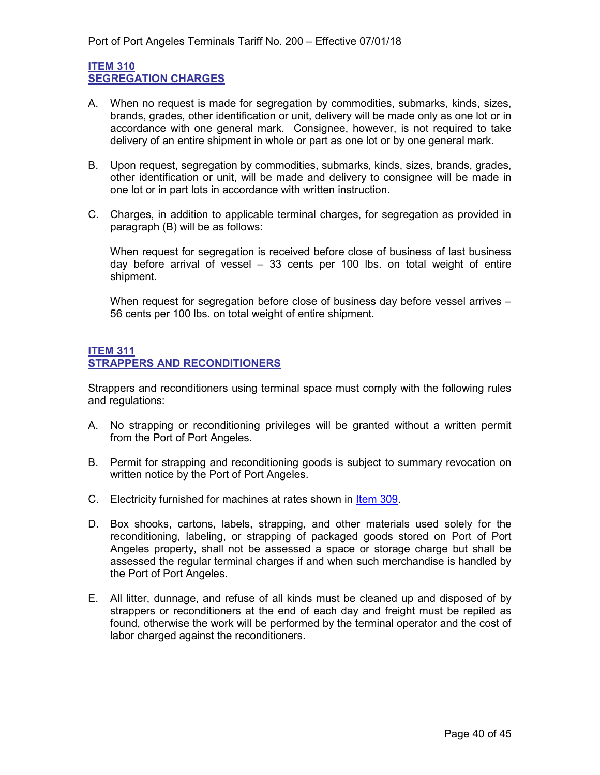#### <span id="page-39-1"></span><span id="page-39-0"></span>**ITEM 310 SEGREGATION CHARGES**

- A. When no request is made for segregation by commodities, submarks, kinds, sizes, brands, grades, other identification or unit, delivery will be made only as one lot or in accordance with one general mark. Consignee, however, is not required to take delivery of an entire shipment in whole or part as one lot or by one general mark.
- B. Upon request, segregation by commodities, submarks, kinds, sizes, brands, grades, other identification or unit, will be made and delivery to consignee will be made in one lot or in part lots in accordance with written instruction.
- C. Charges, in addition to applicable terminal charges, for segregation as provided in paragraph (B) will be as follows:

When request for segregation is received before close of business of last business day before arrival of vessel – 33 cents per 100 lbs. on total weight of entire shipment.

When request for segregation before close of business day before vessel arrives -56 cents per 100 lbs. on total weight of entire shipment.

#### <span id="page-39-3"></span><span id="page-39-2"></span>**ITEM 311 STRAPPERS AND RECONDITIONERS**

Strappers and reconditioners using terminal space must comply with the following rules and regulations:

- A. No strapping or reconditioning privileges will be granted without a written permit from the Port of Port Angeles.
- B. Permit for strapping and reconditioning goods is subject to summary revocation on written notice by the Port of Port Angeles.
- C. Electricity furnished for machines at rates shown in ltem 309.
- D. Box shooks, cartons, labels, strapping, and other materials used solely for the reconditioning, labeling, or strapping of packaged goods stored on Port of Port Angeles property, shall not be assessed a space or storage charge but shall be assessed the regular terminal charges if and when such merchandise is handled by the Port of Port Angeles.
- E. All litter, dunnage, and refuse of all kinds must be cleaned up and disposed of by strappers or reconditioners at the end of each day and freight must be repiled as found, otherwise the work will be performed by the terminal operator and the cost of labor charged against the reconditioners.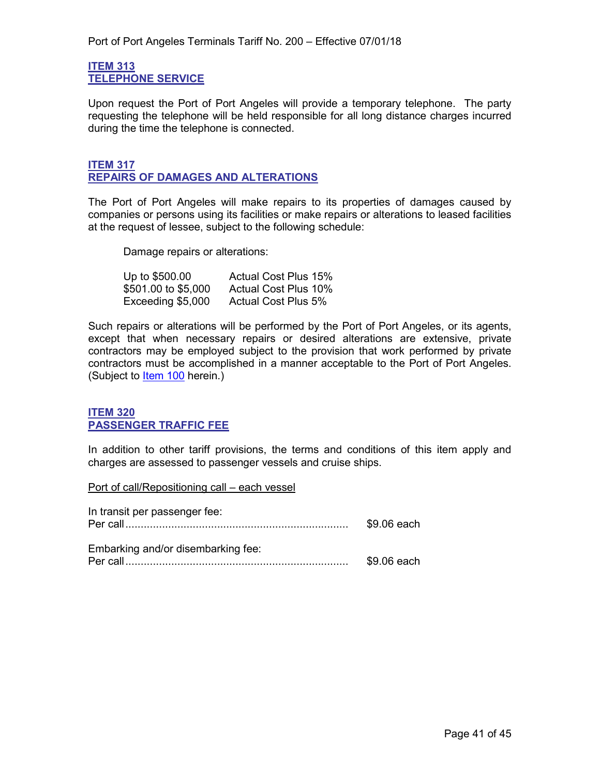#### <span id="page-40-1"></span><span id="page-40-0"></span>**ITEM 313 TELEPHONE SERVICE**

Upon request the Port of Port Angeles will provide a temporary telephone. The party requesting the telephone will be held responsible for all long distance charges incurred during the time the telephone is connected.

#### <span id="page-40-3"></span><span id="page-40-2"></span>**ITEM 317 REPAIRS OF DAMAGES AND ALTERATIONS**

The Port of Port Angeles will make repairs to its properties of damages caused by companies or persons using its facilities or make repairs or alterations to leased facilities at the request of lessee, subject to the following schedule:

Damage repairs or alterations:

| Up to \$500.00      | <b>Actual Cost Plus 15%</b> |
|---------------------|-----------------------------|
| \$501.00 to \$5,000 | <b>Actual Cost Plus 10%</b> |
| Exceeding \$5,000   | <b>Actual Cost Plus 5%</b>  |

Such repairs or alterations will be performed by the Port of Port Angeles, or its agents, except that when necessary repairs or desired alterations are extensive, private contractors may be employed subject to the provision that work performed by private contractors must be accomplished in a manner acceptable to the Port of Port Angeles. (Subject to ltem 100 herein.)

#### <span id="page-40-5"></span><span id="page-40-4"></span>**ITEM 320 PASSENGER TRAFFIC FEE**

In addition to other tariff provisions, the terms and conditions of this item apply and charges are assessed to passenger vessels and cruise ships.

Port of call/Repositioning call – each vessel

| In transit per passenger fee:      | \$9.06 each |
|------------------------------------|-------------|
| Embarking and/or disembarking fee: | \$9.06 each |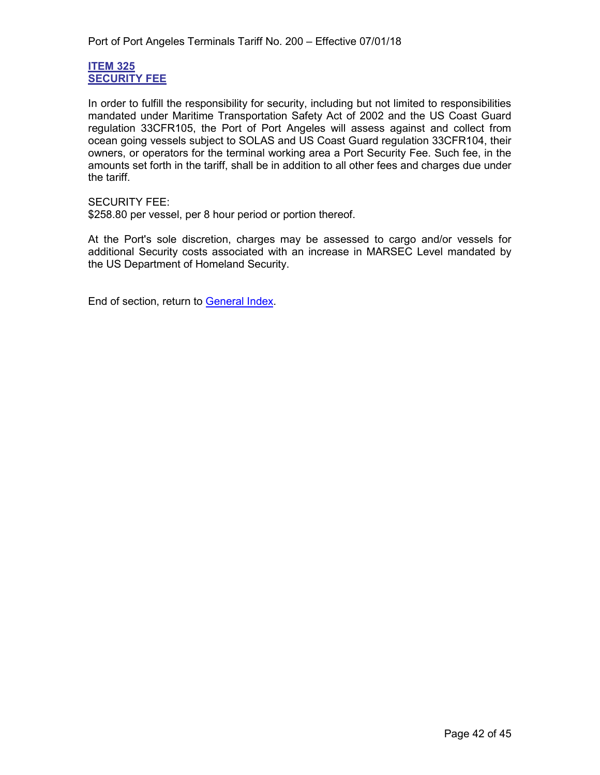#### <span id="page-41-1"></span><span id="page-41-0"></span>**ITEM 325 SECURITY FEE**

In order to fulfill the responsibility for security, including but not limited to responsibilities mandated under Maritime Transportation Safety Act of 2002 and the US Coast Guard regulation 33CFR105, the Port of Port Angeles will assess against and collect from ocean going vessels subject to SOLAS and US Coast Guard regulation 33CFR104, their owners, or operators for the terminal working area a Port Security Fee. Such fee, in the amounts set forth in the tariff, shall be in addition to all other fees and charges due under the tariff.

#### SECURITY FEE:

\$258.80 per vessel, per 8 hour period or portion thereof.

At the Port's sole discretion, charges may be assessed to cargo and/or vessels for additional Security costs associated with an increase in MARSEC Level mandated by the US Department of Homeland Security.

End of section, return to [General Index.](#page-3-0)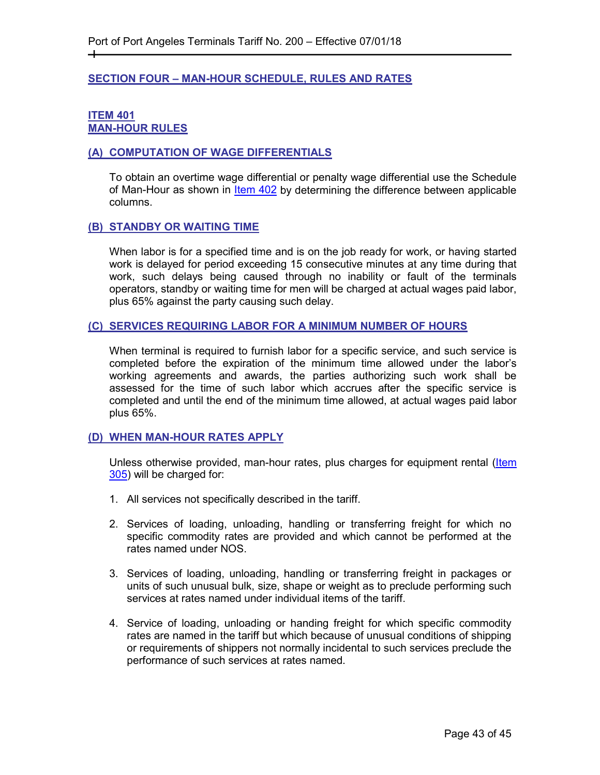#### <span id="page-42-0"></span>**SECTION FOUR – MAN-HOUR SCHEDULE, RULES AND RATES**

#### <span id="page-42-2"></span><span id="page-42-1"></span>**ITEM 401 MAN-HOUR RULES**

┿

#### <span id="page-42-3"></span>**(A) COMPUTATION OF WAGE DIFFERENTIALS**

To obtain an overtime wage differential or penalty wage differential use the Schedule of Man-Hour as shown in [Item 402](#page-43-2) by determining the difference between applicable columns.

#### <span id="page-42-4"></span>**(B) STANDBY OR WAITING TIME**

When labor is for a specified time and is on the job ready for work, or having started work is delayed for period exceeding 15 consecutive minutes at any time during that work, such delays being caused through no inability or fault of the terminals operators, standby or waiting time for men will be charged at actual wages paid labor, plus 65% against the party causing such delay.

#### <span id="page-42-5"></span>**(C) SERVICES REQUIRING LABOR FOR A MINIMUM NUMBER OF HOURS**

When terminal is required to furnish labor for a specific service, and such service is completed before the expiration of the minimum time allowed under the labor's working agreements and awards, the parties authorizing such work shall be assessed for the time of such labor which accrues after the specific service is completed and until the end of the minimum time allowed, at actual wages paid labor plus 65%.

#### <span id="page-42-6"></span>**(D) WHEN MAN-HOUR RATES APPLY**

Unless otherwise provided, man-hour rates, plus charges for equipment rental (Item [305\)](#page-38-1) will be charged for:

- 1. All services not specifically described in the tariff.
- 2. Services of loading, unloading, handling or transferring freight for which no specific commodity rates are provided and which cannot be performed at the rates named under NOS.
- 3. Services of loading, unloading, handling or transferring freight in packages or units of such unusual bulk, size, shape or weight as to preclude performing such services at rates named under individual items of the tariff.
- 4. Service of loading, unloading or handing freight for which specific commodity rates are named in the tariff but which because of unusual conditions of shipping or requirements of shippers not normally incidental to such services preclude the performance of such services at rates named.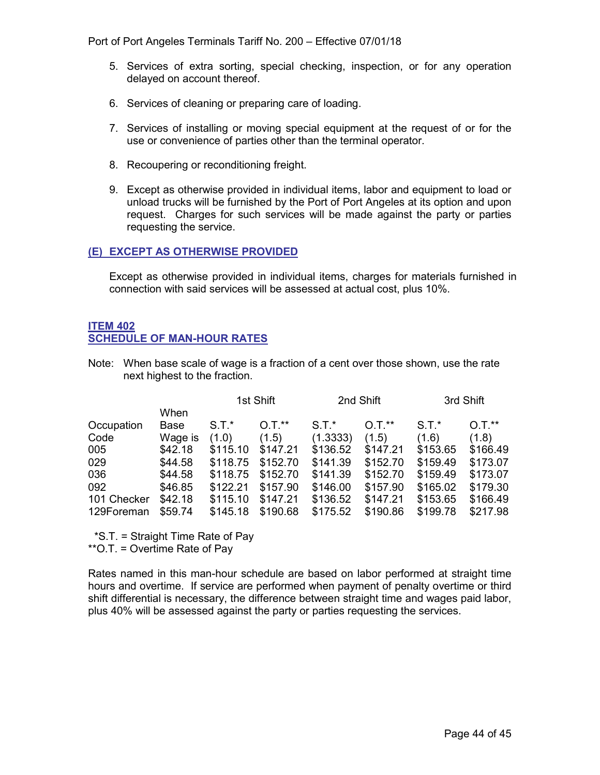Port of Port Angeles Terminals Tariff No. 200 – Effective 07/01/18

- 5. Services of extra sorting, special checking, inspection, or for any operation delayed on account thereof.
- 6. Services of cleaning or preparing care of loading.
- 7. Services of installing or moving special equipment at the request of or for the use or convenience of parties other than the terminal operator.
- 8. Recoupering or reconditioning freight.
- 9. Except as otherwise provided in individual items, labor and equipment to load or unload trucks will be furnished by the Port of Port Angeles at its option and upon request. Charges for such services will be made against the party or parties requesting the service.

#### <span id="page-43-0"></span>**(E) EXCEPT AS OTHERWISE PROVIDED**

Except as otherwise provided in individual items, charges for materials furnished in connection with said services will be assessed at actual cost, plus 10%.

#### <span id="page-43-2"></span><span id="page-43-1"></span>**ITEM 402 SCHEDULE OF MAN-HOUR RATES**

Note: When base scale of wage is a fraction of a cent over those shown, use the rate next highest to the fraction.

|             |         | 1st Shift |          | 2nd Shift |          | 3rd Shift |          |
|-------------|---------|-----------|----------|-----------|----------|-----------|----------|
|             | When    |           |          |           |          |           |          |
| Occupation  | Base    | $S.T.*$   | $O.T.**$ | $S.T.*$   | $0.7.*$  | $S.T.*$   | $0.7.*$  |
| Code        | Wage is | (1.0)     | (1.5)    | (1.3333)  | (1.5)    | (1.6)     | (1.8)    |
| 005         | \$42.18 | \$115.10  | \$147.21 | \$136.52  | \$147.21 | \$153.65  | \$166.49 |
| 029         | \$44.58 | \$118.75  | \$152.70 | \$141.39  | \$152.70 | \$159.49  | \$173.07 |
| 036         | \$44.58 | \$118.75  | \$152.70 | \$141.39  | \$152.70 | \$159.49  | \$173.07 |
| 092         | \$46.85 | \$122.21  | \$157.90 | \$146.00  | \$157.90 | \$165.02  | \$179.30 |
| 101 Checker | \$42.18 | \$115.10  | \$147.21 | \$136.52  | \$147.21 | \$153.65  | \$166.49 |
| 129Foreman  | \$59.74 | \$145.18  | \$190.68 | \$175.52  | \$190.86 | \$199.78  | \$217.98 |

\*S.T. = Straight Time Rate of Pay

\*\*O.T. = Overtime Rate of Pay

Rates named in this man-hour schedule are based on labor performed at straight time hours and overtime. If service are performed when payment of penalty overtime or third shift differential is necessary, the difference between straight time and wages paid labor, plus 40% will be assessed against the party or parties requesting the services.